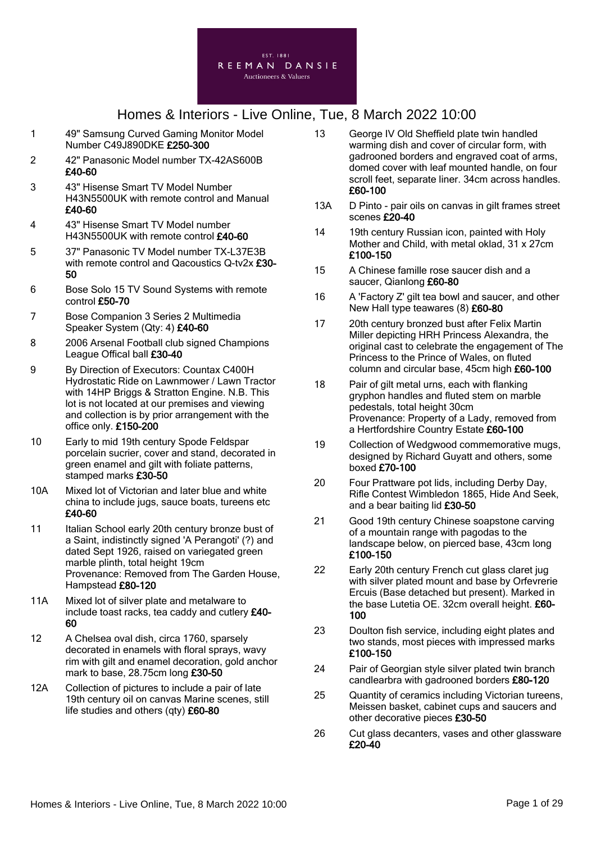

- 1 49" Samsung Curved Gaming Monitor Model Number C49J890DKE £250-300
- 2 42" Panasonic Model number TX-42AS600B £40-60
- 3 43" Hisense Smart TV Model Number H43N5500UK with remote control and Manual £40-60
- 4 43" Hisense Smart TV Model number H43N5500UK with remote control £40-60
- 5 37" Panasonic TV Model number TX-L37E3B with remote control and Qacoustics Q-tv2x £30-50
- 6 Bose Solo 15 TV Sound Systems with remote control £50-70
- 7 Bose Companion 3 Series 2 Multimedia Speaker System (Qty: 4) £40-60
- 8 2006 Arsenal Football club signed Champions League Offical ball £30-40
- 9 By Direction of Executors: Countax C400H Hydrostatic Ride on Lawnmower / Lawn Tractor with 14HP Briggs & Stratton Engine. N.B. This lot is not located at our premises and viewing and collection is by prior arrangement with the office only. £150-200
- 10 Early to mid 19th century Spode Feldspar porcelain sucrier, cover and stand, decorated in green enamel and gilt with foliate patterns, stamped marks £30-50
- 10A Mixed lot of Victorian and later blue and white china to include jugs, sauce boats, tureens etc £40-60
- 11 Italian School early 20th century bronze bust of a Saint, indistinctly signed 'A Perangoti' (?) and dated Sept 1926, raised on variegated green marble plinth, total height 19cm Provenance: Removed from The Garden House, Hampstead £80-120
- 11A Mixed lot of silver plate and metalware to include toast racks, tea caddy and cutlery £40- 60
- 12 A Chelsea oval dish, circa 1760, sparsely decorated in enamels with floral sprays, wavy rim with gilt and enamel decoration, gold anchor mark to base, 28.75cm long £30-50
- 12A Collection of pictures to include a pair of late 19th century oil on canvas Marine scenes, still life studies and others (qty) £60-80
- 13 George IV Old Sheffield plate twin handled warming dish and cover of circular form, with gadrooned borders and engraved coat of arms, domed cover with leaf mounted handle, on four scroll feet, separate liner. 34cm across handles. £60-100
- 13A D Pinto pair oils on canvas in gilt frames street scenes £20-40
- 14 19th century Russian icon, painted with Holy Mother and Child, with metal oklad, 31 x 27cm £100-150
- 15 A Chinese famille rose saucer dish and a saucer, Qianlong £60-80
- 16 A 'Factory Z' gilt tea bowl and saucer, and other New Hall type teawares (8) £60-80
- 17 20th century bronzed bust after Felix Martin Miller depicting HRH Princess Alexandra, the original cast to celebrate the engagement of The Princess to the Prince of Wales, on fluted column and circular base, 45cm high £60-100
- 18 Pair of gilt metal urns, each with flanking gryphon handles and fluted stem on marble pedestals, total height 30cm Provenance: Property of a Lady, removed from a Hertfordshire Country Estate £60-100
- 19 Collection of Wedgwood commemorative mugs, designed by Richard Guyatt and others, some boxed £70-100
- 20 Four Prattware pot lids, including Derby Day, Rifle Contest Wimbledon 1865, Hide And Seek, and a bear baiting lid £30-50
- 21 Good 19th century Chinese soapstone carving of a mountain range with pagodas to the landscape below, on pierced base, 43cm long £100-150
- 22 Early 20th century French cut glass claret jug with silver plated mount and base by Orfevrerie Ercuis (Base detached but present). Marked in the base Lutetia OE. 32cm overall height. £60-100
- 23 Doulton fish service, including eight plates and two stands, most pieces with impressed marks £100-150
- 24 Pair of Georgian style silver plated twin branch candlearbra with gadrooned borders £80-120
- 25 Quantity of ceramics including Victorian tureens, Meissen basket, cabinet cups and saucers and other decorative pieces £30-50
- 26 Cut glass decanters, vases and other glassware £20-40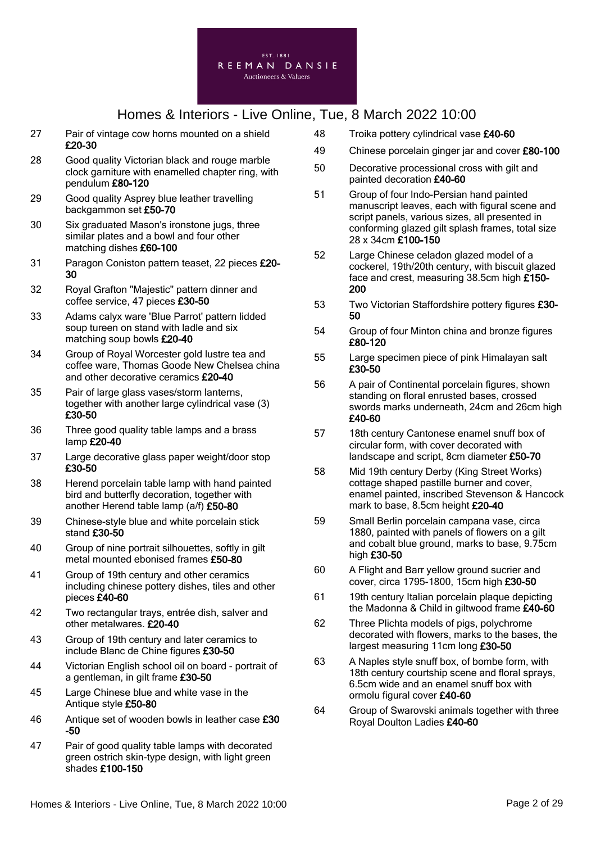

- 27 Pair of vintage cow horns mounted on a shield £20-30
- 28 Good quality Victorian black and rouge marble clock garniture with enamelled chapter ring, with pendulum £80-120
- 29 Good quality Asprey blue leather travelling backgammon set £50-70
- 30 Six graduated Mason's ironstone jugs, three similar plates and a bowl and four other matching dishes £60-100
- 31 Paragon Coniston pattern teaset, 22 pieces £20- 30
- 32 Royal Grafton "Majestic" pattern dinner and coffee service, 47 pieces £30-50
- 33 Adams calyx ware 'Blue Parrot' pattern lidded soup tureen on stand with ladle and six matching soup bowls £20-40
- 34 Group of Royal Worcester gold lustre tea and coffee ware, Thomas Goode New Chelsea china and other decorative ceramics £20-40
- 35 Pair of large glass vases/storm lanterns, together with another large cylindrical vase (3) £30-50
- 36 Three good quality table lamps and a brass lamp £20-40
- 37 Large decorative glass paper weight/door stop £30-50
- 38 Herend porcelain table lamp with hand painted bird and butterfly decoration, together with another Herend table lamp (a/f) £50-80
- 39 Chinese-style blue and white porcelain stick stand £30-50
- 40 Group of nine portrait silhouettes, softly in gilt metal mounted ebonised frames £50-80
- 41 Group of 19th century and other ceramics including chinese pottery dishes, tiles and other pieces £40-60
- 42 Two rectangular trays, entrée dish, salver and other metalwares. £20-40
- 43 Group of 19th century and later ceramics to include Blanc de Chine figures £30-50
- 44 Victorian English school oil on board portrait of a gentleman, in gilt frame £30-50
- 45 Large Chinese blue and white vase in the Antique style £50-80
- 46 Antique set of wooden bowls in leather case £30 -50
- 47 Pair of good quality table lamps with decorated green ostrich skin-type design, with light green shades £100-150
- 48 Troika pottery cylindrical vase £40-60
- 49 Chinese porcelain ginger jar and cover £80-100
- 50 Decorative processional cross with gilt and painted decoration £40-60
- 51 Group of four Indo-Persian hand painted manuscript leaves, each with figural scene and script panels, various sizes, all presented in conforming glazed gilt splash frames, total size 28 x 34cm £100-150
- 52 Large Chinese celadon glazed model of a cockerel, 19th/20th century, with biscuit glazed face and crest, measuring 38.5cm high £150- 200
- 53 Two Victorian Staffordshire pottery figures £30- 50
- 54 Group of four Minton china and bronze figures £80-120
- 55 Large specimen piece of pink Himalayan salt £30-50
- 56 A pair of Continental porcelain figures, shown standing on floral enrusted bases, crossed swords marks underneath, 24cm and 26cm high £40-60
- 57 18th century Cantonese enamel snuff box of circular form, with cover decorated with landscape and script, 8cm diameter £50-70
- 58 Mid 19th century Derby (King Street Works) cottage shaped pastille burner and cover, enamel painted, inscribed Stevenson & Hancock mark to base, 8.5cm height £20-40
- 59 Small Berlin porcelain campana vase, circa 1880, painted with panels of flowers on a gilt and cobalt blue ground, marks to base, 9.75cm high £30-50
- 60 A Flight and Barr yellow ground sucrier and cover, circa 1795-1800, 15cm high £30-50
- 61 19th century Italian porcelain plaque depicting the Madonna & Child in giltwood frame £40-60
- 62 Three Plichta models of pigs, polychrome decorated with flowers, marks to the bases, the largest measuring 11cm long £30-50
- 63 A Naples style snuff box, of bombe form, with 18th century courtship scene and floral sprays, 6.5cm wide and an enamel snuff box with ormolu figural cover £40-60
- 64 Group of Swarovski animals together with three Royal Doulton Ladies £40-60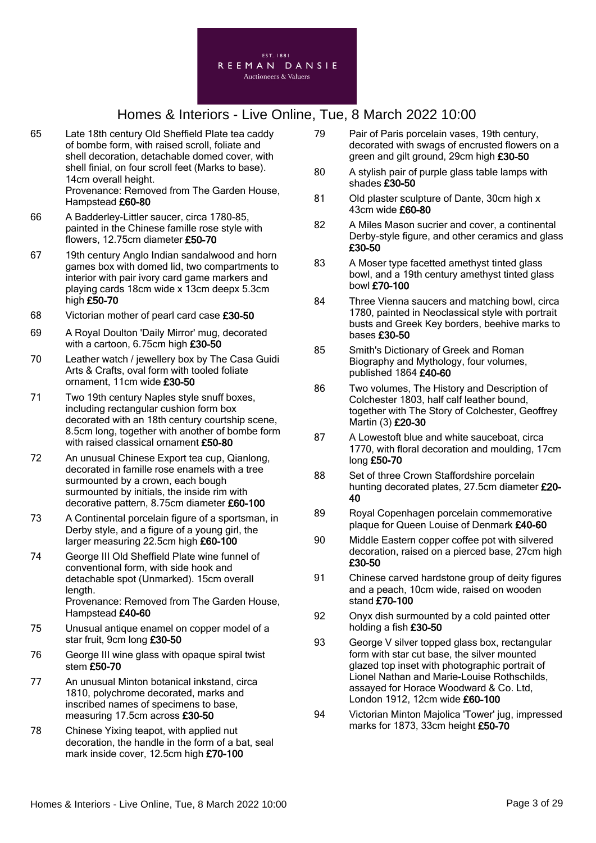

65 Late 18th century Old Sheffield Plate tea caddy of bombe form, with raised scroll, foliate and shell decoration, detachable domed cover, with shell finial, on four scroll feet (Marks to base). 14cm overall height.

Provenance: Removed from The Garden House, Hampstead £60-80

- 66 A Badderley-Littler saucer, circa 1780-85, painted in the Chinese famille rose style with flowers, 12.75cm diameter £50-70
- 67 19th century Anglo Indian sandalwood and horn games box with domed lid, two compartments to interior with pair ivory card game markers and playing cards 18cm wide x 13cm deepx 5.3cm high £50-70
- 68 Victorian mother of pearl card case £30-50
- 69 A Royal Doulton 'Daily Mirror' mug, decorated with a cartoon, 6.75cm high £30-50
- 70 Leather watch / jewellery box by The Casa Guidi Arts & Crafts, oval form with tooled foliate ornament, 11cm wide £30-50
- 71 Two 19th century Naples style snuff boxes, including rectangular cushion form box decorated with an 18th century courtship scene, 8.5cm long, together with another of bombe form with raised classical ornament £50-80
- 72 An unusual Chinese Export tea cup, Qianlong, decorated in famille rose enamels with a tree surmounted by a crown, each bough surmounted by initials, the inside rim with decorative pattern, 8.75cm diameter £60-100
- 73 A Continental porcelain figure of a sportsman, in Derby style, and a figure of a young girl, the larger measuring 22.5cm high £60-100
- 74 George III Old Sheffield Plate wine funnel of conventional form, with side hook and detachable spot (Unmarked). 15cm overall length. Provenance: Removed from The Garden House, Hampstead £40-60
- 75 Unusual antique enamel on copper model of a star fruit, 9cm long £30-50
- 76 George III wine glass with opaque spiral twist stem £50-70
- 77 An unusual Minton botanical inkstand, circa 1810, polychrome decorated, marks and inscribed names of specimens to base, measuring 17.5cm across £30-50
- 78 Chinese Yixing teapot, with applied nut decoration, the handle in the form of a bat, seal mark inside cover, 12.5cm high £70-100
- 79 Pair of Paris porcelain vases, 19th century, decorated with swags of encrusted flowers on a green and gilt ground, 29cm high £30-50
- 80 A stylish pair of purple glass table lamps with shades £30-50
- 81 Old plaster sculpture of Dante, 30cm high x 43cm wide £60-80
- 82 A Miles Mason sucrier and cover, a continental Derby-style figure, and other ceramics and glass £30-50
- 83 A Moser type facetted amethyst tinted glass bowl, and a 19th century amethyst tinted glass bowl £70-100
- 84 Three Vienna saucers and matching bowl, circa 1780, painted in Neoclassical style with portrait busts and Greek Key borders, beehive marks to bases £30-50
- 85 Smith's Dictionary of Greek and Roman Biography and Mythology, four volumes, published 1864 £40-60
- 86 Two volumes, The History and Description of Colchester 1803, half calf leather bound, together with The Story of Colchester, Geoffrey Martin (3) £20-30
- 87 A Lowestoft blue and white sauceboat, circa 1770, with floral decoration and moulding, 17cm long £50-70
- 88 Set of three Crown Staffordshire porcelain hunting decorated plates, 27.5cm diameter £20-40
- 89 Royal Copenhagen porcelain commemorative plaque for Queen Louise of Denmark £40-60
- 90 Middle Eastern copper coffee pot with silvered decoration, raised on a pierced base, 27cm high £30-50
- 91 Chinese carved hardstone group of deity figures and a peach, 10cm wide, raised on wooden stand £70-100
- 92 Onyx dish surmounted by a cold painted otter holding a fish £30-50
- 93 George V silver topped glass box, rectangular form with star cut base, the silver mounted glazed top inset with photographic portrait of Lionel Nathan and Marie-Louise Rothschilds, assayed for Horace Woodward & Co. Ltd, London 1912, 12cm wide £60-100
- 94 Victorian Minton Majolica 'Tower' jug, impressed marks for 1873, 33cm height £50-70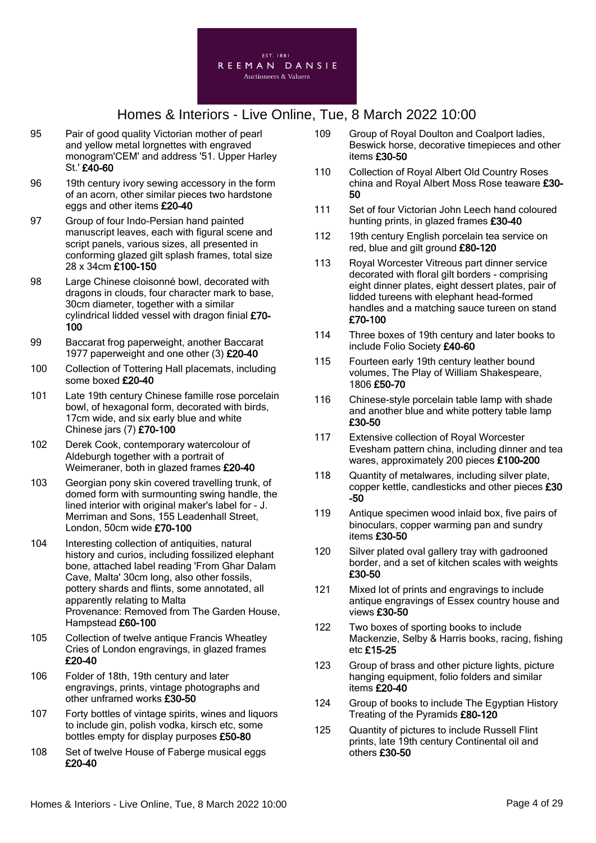

- 95 Pair of good quality Victorian mother of pearl and yellow metal lorgnettes with engraved monogram'CEM' and address '51. Upper Harley St.' £40-60
- 96 19th century ivory sewing accessory in the form of an acorn, other similar pieces two hardstone eggs and other items £20-40
- 97 Group of four Indo-Persian hand painted manuscript leaves, each with figural scene and script panels, various sizes, all presented in conforming glazed gilt splash frames, total size 28 x 34cm £100-150
- 98 Large Chinese cloisonné bowl, decorated with dragons in clouds, four character mark to base, 30cm diameter, together with a similar cylindrical lidded vessel with dragon finial £70- 100
- 99 Baccarat frog paperweight, another Baccarat 1977 paperweight and one other (3) £20-40
- 100 Collection of Tottering Hall placemats, including some boxed £20-40
- 101 Late 19th century Chinese famille rose porcelain bowl, of hexagonal form, decorated with birds, 17cm wide, and six early blue and white Chinese jars (7) £70-100
- 102 Derek Cook, contemporary watercolour of Aldeburgh together with a portrait of Weimeraner, both in glazed frames £20-40
- 103 Georgian pony skin covered travelling trunk, of domed form with surmounting swing handle, the lined interior with original maker's label for - J. Merriman and Sons, 155 Leadenhall Street, London, 50cm wide £70-100
- 104 Interesting collection of antiquities, natural history and curios, including fossilized elephant bone, attached label reading 'From Ghar Dalam Cave, Malta' 30cm long, also other fossils, pottery shards and flints, some annotated, all apparently relating to Malta Provenance: Removed from The Garden House, Hampstead £60-100
- 105 Collection of twelve antique Francis Wheatley Cries of London engravings, in glazed frames £20-40
- 106 Folder of 18th, 19th century and later engravings, prints, vintage photographs and other unframed works £30-50
- 107 Forty bottles of vintage spirits, wines and liquors to include gin, polish vodka, kirsch etc, some bottles empty for display purposes £50-80
- 108 Set of twelve House of Faberge musical eggs £20-40
- 109 Group of Royal Doulton and Coalport ladies, Beswick horse, decorative timepieces and other items £30-50
- 110 Collection of Royal Albert Old Country Roses china and Royal Albert Moss Rose teaware £30- 50
- 111 Set of four Victorian John Leech hand coloured hunting prints, in glazed frames £30-40
- 112 19th century English porcelain tea service on red, blue and gilt ground £80-120
- 113 Royal Worcester Vitreous part dinner service decorated with floral gilt borders - comprising eight dinner plates, eight dessert plates, pair of lidded tureens with elephant head-formed handles and a matching sauce tureen on stand £70-100
- 114 Three boxes of 19th century and later books to include Folio Society £40-60
- 115 Fourteen early 19th century leather bound volumes, The Play of William Shakespeare, 1806 £50-70
- 116 Chinese-style porcelain table lamp with shade and another blue and white pottery table lamp £30-50
- 117 Extensive collection of Royal Worcester Evesham pattern china, including dinner and tea wares, approximately 200 pieces £100-200
- 118 Quantity of metalwares, including silver plate, copper kettle, candlesticks and other pieces £30 -50
- 119 Antique specimen wood inlaid box, five pairs of binoculars, copper warming pan and sundry items £30-50
- 120 Silver plated oval gallery tray with gadrooned border, and a set of kitchen scales with weights £30-50
- 121 Mixed lot of prints and engravings to include antique engravings of Essex country house and views £30-50
- 122 Two boxes of sporting books to include Mackenzie, Selby & Harris books, racing, fishing etc £15-25
- 123 Group of brass and other picture lights, picture hanging equipment, folio folders and similar items £20-40
- 124 Group of books to include The Egyptian History Treating of the Pyramids £80-120
- 125 Quantity of pictures to include Russell Flint prints, late 19th century Continental oil and others £30-50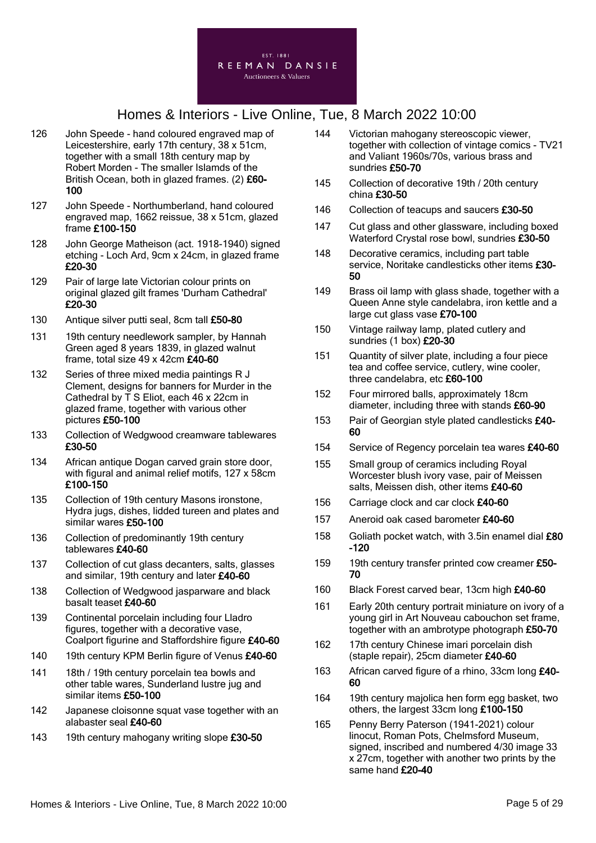

- 126 John Speede hand coloured engraved map of Leicestershire, early 17th century, 38 x 51cm, together with a small 18th century map by Robert Morden - The smaller Islamds of the British Ocean, both in glazed frames. (2) £60- 100
- 127 John Speede Northumberland, hand coloured engraved map, 1662 reissue, 38 x 51cm, glazed frame £100-150
- 128 John George Matheison (act. 1918-1940) signed etching - Loch Ard, 9cm x 24cm, in glazed frame £20-30
- 129 Pair of large late Victorian colour prints on original glazed gilt frames 'Durham Cathedral' £20-30
- 130 Antique silver putti seal, 8cm tall £50-80
- 131 19th century needlework sampler, by Hannah Green aged 8 years 1839, in glazed walnut frame, total size 49 x 42cm £40-60
- 132 Series of three mixed media paintings R J Clement, designs for banners for Murder in the Cathedral by T S Eliot, each 46 x 22cm in glazed frame, together with various other pictures £50-100
- 133 Collection of Wedgwood creamware tablewares £30-50
- 134 African antique Dogan carved grain store door, with figural and animal relief motifs, 127 x 58cm £100-150
- 135 Collection of 19th century Masons ironstone, Hydra jugs, dishes, lidded tureen and plates and similar wares £50-100
- 136 Collection of predominantly 19th century tablewares £40-60
- 137 Collection of cut glass decanters, salts, glasses and similar, 19th century and later £40-60
- 138 Collection of Wedgwood jasparware and black basalt teaset £40-60
- 139 Continental porcelain including four Lladro figures, together with a decorative vase, Coalport figurine and Staffordshire figure £40-60
- 140 19th century KPM Berlin figure of Venus £40-60
- 141 18th / 19th century porcelain tea bowls and other table wares, Sunderland lustre jug and similar items £50-100
- 142 Japanese cloisonne squat vase together with an alabaster seal £40-60
- 143 19th century mahogany writing slope £30-50
- 144 Victorian mahogany stereoscopic viewer, together with collection of vintage comics - TV21 and Valiant 1960s/70s, various brass and sundries £50-70
- 145 Collection of decorative 19th / 20th century china £30-50
- 146 Collection of teacups and saucers £30-50
- 147 Cut glass and other glassware, including boxed Waterford Crystal rose bowl, sundries £30-50
- 148 Decorative ceramics, including part table service, Noritake candlesticks other items £30-50
- 149 Brass oil lamp with glass shade, together with a Queen Anne style candelabra, iron kettle and a large cut glass vase £70-100
- 150 Vintage railway lamp, plated cutlery and sundries (1 box) £20-30
- 151 Quantity of silver plate, including a four piece tea and coffee service, cutlery, wine cooler, three candelabra, etc £60-100
- 152 Four mirrored balls, approximately 18cm diameter, including three with stands £60-90
- 153 Pair of Georgian style plated candlesticks £40-60
- 154 Service of Regency porcelain tea wares £40-60
- 155 Small group of ceramics including Royal Worcester blush ivory vase, pair of Meissen salts, Meissen dish, other items £40-60
- 156 Carriage clock and car clock £40-60
- 157 Aneroid oak cased barometer £40-60
- 158 Goliath pocket watch, with 3.5 in enamel dial £80 -120
- 159 19th century transfer printed cow creamer £50-70
- 160 Black Forest carved bear, 13cm high £40-60
- 161 Early 20th century portrait miniature on ivory of a young girl in Art Nouveau cabouchon set frame, together with an ambrotype photograph £50-70
- 162 17th century Chinese imari porcelain dish (staple repair), 25cm diameter £40-60
- 163 African carved figure of a rhino, 33cm long £40- 60
- 164 19th century majolica hen form egg basket, two others, the largest 33cm long £100-150
- 165 Penny Berry Paterson (1941-2021) colour linocut, Roman Pots, Chelmsford Museum, signed, inscribed and numbered 4/30 image 33 x 27cm, together with another two prints by the same hand £20-40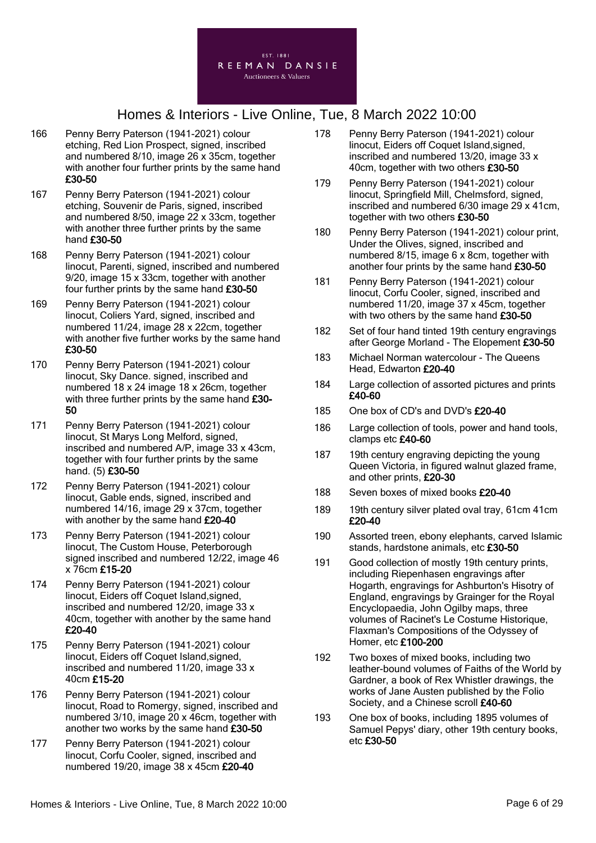

- 166 Penny Berry Paterson (1941-2021) colour etching, Red Lion Prospect, signed, inscribed and numbered 8/10, image 26 x 35cm, together with another four further prints by the same hand £30-50
- 167 Penny Berry Paterson (1941-2021) colour etching, Souvenir de Paris, signed, inscribed and numbered 8/50, image 22 x 33cm, together with another three further prints by the same hand £30-50
- 168 Penny Berry Paterson (1941-2021) colour linocut, Parenti, signed, inscribed and numbered 9/20, image 15 x 33cm, together with another four further prints by the same hand £30-50
- 169 Penny Berry Paterson (1941-2021) colour linocut, Coliers Yard, signed, inscribed and numbered 11/24, image 28 x 22cm, together with another five further works by the same hand £30-50
- 170 Penny Berry Paterson (1941-2021) colour linocut, Sky Dance. signed, inscribed and numbered 18 x 24 image 18 x 26cm, together with three further prints by the same hand £30-50
- 171 Penny Berry Paterson (1941-2021) colour linocut, St Marys Long Melford, signed, inscribed and numbered A/P, image 33 x 43cm, together with four further prints by the same hand. (5) £30-50
- 172 Penny Berry Paterson (1941-2021) colour linocut, Gable ends, signed, inscribed and numbered 14/16, image 29 x 37cm, together with another by the same hand £20-40
- 173 Penny Berry Paterson (1941-2021) colour linocut, The Custom House, Peterborough signed inscribed and numbered 12/22, image 46 x 76cm £15-20
- 174 Penny Berry Paterson (1941-2021) colour linocut, Eiders off Coquet Island,signed, inscribed and numbered 12/20, image 33 x 40cm, together with another by the same hand £20-40
- 175 Penny Berry Paterson (1941-2021) colour linocut, Eiders off Coquet Island,signed, inscribed and numbered 11/20, image 33 x 40cm £15-20
- 176 Penny Berry Paterson (1941-2021) colour linocut, Road to Romergy, signed, inscribed and numbered 3/10, image 20 x 46cm, together with another two works by the same hand £30-50
- 177 Penny Berry Paterson (1941-2021) colour linocut, Corfu Cooler, signed, inscribed and numbered 19/20, image 38 x 45cm £20-40
- 178 Penny Berry Paterson (1941-2021) colour linocut, Eiders off Coquet Island,signed, inscribed and numbered 13/20, image 33 x 40cm, together with two others £30-50
- 179 Penny Berry Paterson (1941-2021) colour linocut, Springfield Mill, Chelmsford, signed, inscribed and numbered 6/30 image 29 x 41cm, together with two others £30-50
- 180 Penny Berry Paterson (1941-2021) colour print, Under the Olives, signed, inscribed and numbered 8/15, image 6 x 8cm, together with another four prints by the same hand £30-50
- 181 Penny Berry Paterson (1941-2021) colour linocut, Corfu Cooler, signed, inscribed and numbered 11/20, image 37 x 45cm, together with two others by the same hand £30-50
- 182 Set of four hand tinted 19th century engravings after George Morland - The Elopement £30-50
- 183 Michael Norman watercolour The Queens Head, Edwarton £20-40
- 184 Large collection of assorted pictures and prints £40-60
- 185 One box of CD's and DVD's £20-40
- 186 Large collection of tools, power and hand tools, clamps etc £40-60
- 187 19th century engraving depicting the young Queen Victoria, in figured walnut glazed frame, and other prints, £20-30
- 188 Seven boxes of mixed books £20-40
- 189 19th century silver plated oval tray, 61cm 41cm £20-40
- 190 Assorted treen, ebony elephants, carved Islamic stands, hardstone animals, etc £30-50
- 191 Good collection of mostly 19th century prints, including Riepenhasen engravings after Hogarth, engravings for Ashburton's Hisotry of England, engravings by Grainger for the Royal Encyclopaedia, John Ogilby maps, three volumes of Racinet's Le Costume Historique, Flaxman's Compositions of the Odyssey of Homer, etc £100-200
- 192 Two boxes of mixed books, including two leather-bound volumes of Faiths of the World by Gardner, a book of Rex Whistler drawings, the works of Jane Austen published by the Folio Society, and a Chinese scroll £40-60
- 193 One box of books, including 1895 volumes of Samuel Pepys' diary, other 19th century books, etc £30-50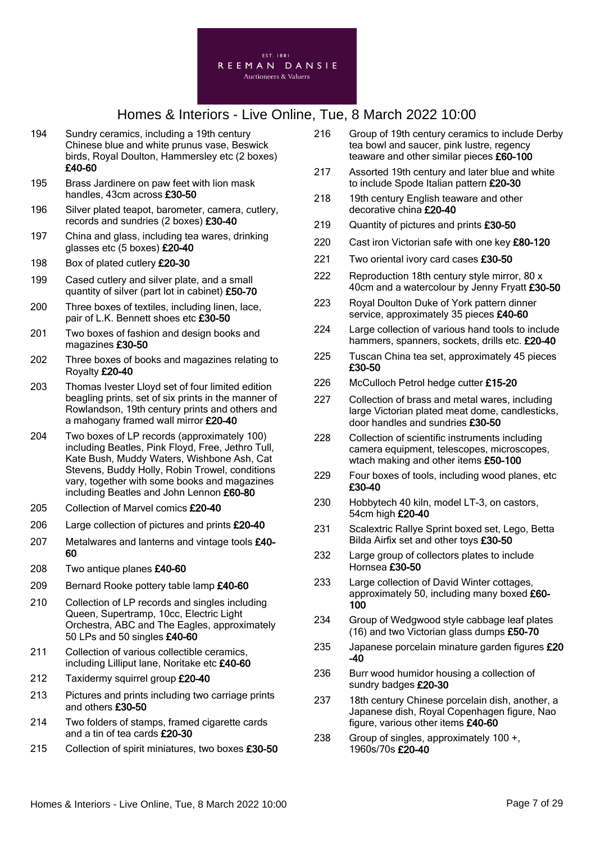

- 194 Sundry ceramics, including a 19th century Chinese blue and white prunus vase, Beswick birds, Royal Doulton, Hammersley etc (2 boxes) £40-60
- 195 Brass Jardinere on paw feet with lion mask handles, 43cm across £30-50
- 196 Silver plated teapot, barometer, camera, cutlery, records and sundries (2 boxes) £30-40
- 197 China and glass, including tea wares, drinking glasses etc (5 boxes) £20-40
- 198 Box of plated cutlery £20-30
- 199 Cased cutlery and silver plate, and a small quantity of silver (part lot in cabinet) £50-70
- 200 Three boxes of textiles, including linen, lace, pair of L.K. Bennett shoes etc £30-50
- 201 Two boxes of fashion and design books and magazines £30-50
- 202 Three boxes of books and magazines relating to Royalty £20-40
- 203 Thomas Ivester Lloyd set of four limited edition beagling prints, set of six prints in the manner of Rowlandson, 19th century prints and others and a mahogany framed wall mirror £20-40
- 204 Two boxes of LP records (approximately 100) including Beatles, Pink Floyd, Free, Jethro Tull, Kate Bush, Muddy Waters, Wishbone Ash, Cat Stevens, Buddy Holly, Robin Trowel, conditions vary, together with some books and magazines including Beatles and John Lennon £60-80
- 205 Collection of Marvel comics £20-40
- 206 Large collection of pictures and prints £20-40
- 207 Metalwares and lanterns and vintage tools £40-60
- 208 Two antique planes £40-60
- 209 Bernard Rooke pottery table lamp £40-60
- 210 Collection of LP records and singles including Queen, Supertramp, 10cc, Electric Light Orchestra, ABC and The Eagles, approximately 50 LPs and 50 singles £40-60
- 211 Collection of various collectible ceramics, including Lilliput lane, Noritake etc £40-60
- 212 Taxidermy squirrel group £20-40
- 213 Pictures and prints including two carriage prints and others £30-50
- 214 Two folders of stamps, framed cigarette cards and a tin of tea cards £20-30
- 215 Collection of spirit miniatures, two boxes £30-50
- 216 Group of 19th century ceramics to include Derby tea bowl and saucer, pink lustre, regency teaware and other similar pieces £60-100
- 217 Assorted 19th century and later blue and white to include Spode Italian pattern £20-30
- 218 19th century English teaware and other decorative china £20-40
- 219 Quantity of pictures and prints £30-50
- 220 Cast iron Victorian safe with one key £80-120
- 221 Two oriental ivory card cases £30-50
- 222 Reproduction 18th century style mirror, 80 x 40cm and a watercolour by Jenny Fryatt £30-50
- 223 Royal Doulton Duke of York pattern dinner service, approximately 35 pieces £40-60
- 224 Large collection of various hand tools to include hammers, spanners, sockets, drills etc. £20-40
- 225 Tuscan China tea set, approximately 45 pieces £30-50
- 226 McCulloch Petrol hedge cutter £15-20
- 227 Collection of brass and metal wares, including large Victorian plated meat dome, candlesticks, door handles and sundries £30-50
- 228 Collection of scientific instruments including camera equipment, telescopes, microscopes, wtach making and other items £50-100
- 229 Four boxes of tools, including wood planes, etc £30-40
- 230 Hobbytech 40 kiln, model LT-3, on castors, 54cm high £20-40
- 231 Scalextric Rallye Sprint boxed set, Lego, Betta Bilda Airfix set and other toys £30-50
- 232 Large group of collectors plates to include Hornsea £30-50
- 233 Large collection of David Winter cottages, approximately 50, including many boxed £60- 100
- 234 Group of Wedgwood style cabbage leaf plates (16) and two Victorian glass dumps £50-70
- 235 Japanese porcelain minature garden figures £20 -40
- 236 Burr wood humidor housing a collection of sundry badges £20-30
- 237 18th century Chinese porcelain dish, another, a Japanese dish, Royal Copenhagen figure, Nao figure, various other items £40-60
- 238 Group of singles, approximately 100 +, 1960s/70s £20-40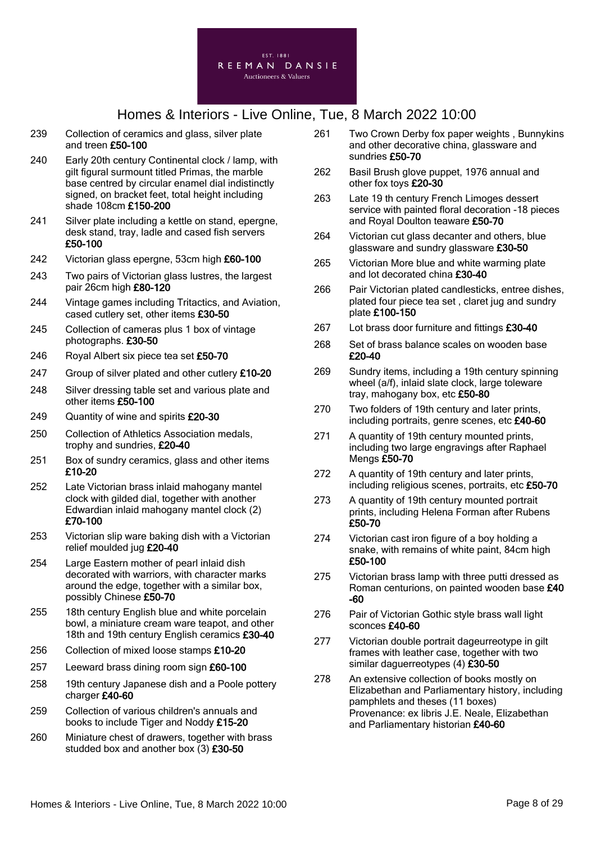

- 239 Collection of ceramics and glass, silver plate and treen £50-100
- 240 Early 20th century Continental clock / lamp, with gilt figural surmount titled Primas, the marble base centred by circular enamel dial indistinctly signed, on bracket feet, total height including shade 108cm £150-200
- 241 Silver plate including a kettle on stand, epergne, desk stand, tray, ladle and cased fish servers £50-100
- 242 Victorian glass epergne, 53cm high £60-100
- 243 Two pairs of Victorian glass lustres, the largest pair 26cm high £80-120
- 244 Vintage games including Tritactics, and Aviation, cased cutlery set, other items £30-50
- 245 Collection of cameras plus 1 box of vintage photographs. £30-50
- 246 Royal Albert six piece tea set £50-70
- 247 Group of silver plated and other cutlery £10-20
- 248 Silver dressing table set and various plate and other items £50-100
- 249 Quantity of wine and spirits £20-30
- 250 Collection of Athletics Association medals, trophy and sundries, £20-40
- 251 Box of sundry ceramics, glass and other items £10-20
- 252 Late Victorian brass inlaid mahogany mantel clock with gilded dial, together with another Edwardian inlaid mahogany mantel clock (2) £70-100
- 253 Victorian slip ware baking dish with a Victorian relief moulded jug £20-40
- 254 Large Eastern mother of pearl inlaid dish decorated with warriors, with character marks around the edge, together with a similar box, possibly Chinese £50-70
- 255 18th century English blue and white porcelain bowl, a miniature cream ware teapot, and other 18th and 19th century English ceramics £30-40
- 256 Collection of mixed loose stamps £10-20
- 257 Leeward brass dining room sign £60-100
- 258 19th century Japanese dish and a Poole pottery charger £40-60
- 259 Collection of various children's annuals and books to include Tiger and Noddy £15-20
- 260 Miniature chest of drawers, together with brass studded box and another box (3) £30-50
- 261 Two Crown Derby fox paper weights , Bunnykins and other decorative china, glassware and sundries £50-70
- 262 Basil Brush glove puppet, 1976 annual and other fox toys £20-30
- 263 Late 19 th century French Limoges dessert service with painted floral decoration -18 pieces and Royal Doulton teaware £50-70
- 264 Victorian cut glass decanter and others, blue glassware and sundry glassware £30-50
- 265 Victorian More blue and white warming plate and lot decorated china £30-40
- 266 Pair Victorian plated candlesticks, entree dishes, plated four piece tea set , claret jug and sundry plate £100-150
- 267 Lot brass door furniture and fittings £30-40
- 268 Set of brass balance scales on wooden base £20-40
- 269 Sundry items, including a 19th century spinning wheel (a/f), inlaid slate clock, large toleware tray, mahogany box, etc £50-80
- 270 Two folders of 19th century and later prints, including portraits, genre scenes, etc £40-60
- 271 A quantity of 19th century mounted prints, including two large engravings after Raphael Mengs £50-70
- 272 A quantity of 19th century and later prints, including religious scenes, portraits, etc £50-70
- 273 A quantity of 19th century mounted portrait prints, including Helena Forman after Rubens £50-70
- 274 Victorian cast iron figure of a boy holding a snake, with remains of white paint, 84cm high £50-100
- 275 Victorian brass lamp with three putti dressed as Roman centurions, on painted wooden base £40 -60
- 276 Pair of Victorian Gothic style brass wall light sconces £40-60
- 277 Victorian double portrait dageurreotype in gilt frames with leather case, together with two similar daquerreotypes (4) £30-50
- 278 An extensive collection of books mostly on Elizabethan and Parliamentary history, including pamphlets and theses (11 boxes) Provenance: ex libris J.E. Neale, Elizabethan and Parliamentary historian £40-60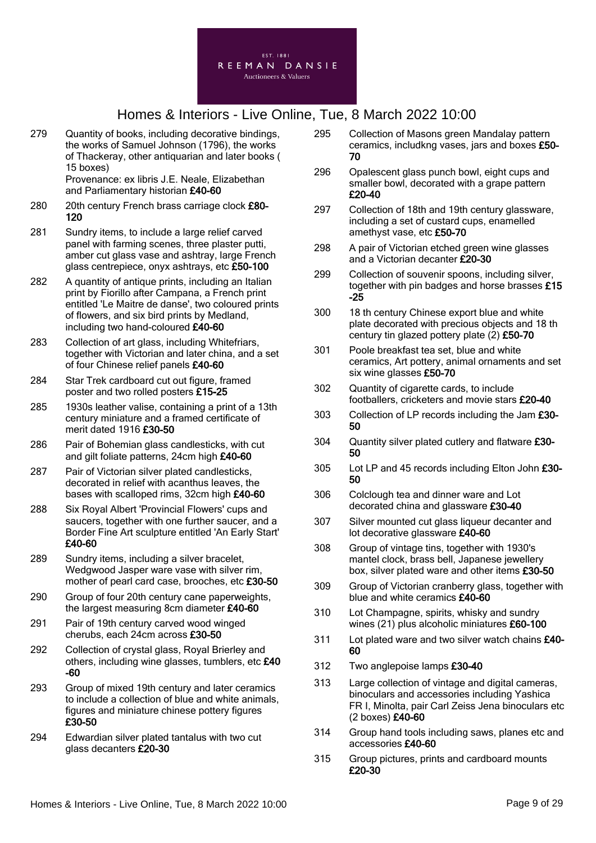

279 Quantity of books, including decorative bindings, the works of Samuel Johnson (1796), the works of Thackeray, other antiquarian and later books ( 15 boxes) Provenance: ex libris J.E. Neale, Elizabethan

and Parliamentary historian £40-60

- 280 20th century French brass carriage clock £80-120
- 281 Sundry items, to include a large relief carved panel with farming scenes, three plaster putti, amber cut glass vase and ashtray, large French glass centrepiece, onyx ashtrays, etc £50-100
- 282 A quantity of antique prints, including an Italian print by Fiorillo after Campana, a French print entitled 'Le Maitre de danse', two coloured prints of flowers, and six bird prints by Medland, including two hand-coloured £40-60
- 283 Collection of art glass, including Whitefriars, together with Victorian and later china, and a set of four Chinese relief panels £40-60
- 284 Star Trek cardboard cut out figure, framed poster and two rolled posters £15-25
- 285 1930s leather valise, containing a print of a 13th century miniature and a framed certificate of merit dated 1916 £30-50
- 286 Pair of Bohemian glass candlesticks, with cut and gilt foliate patterns, 24cm high £40-60
- 287 Pair of Victorian silver plated candlesticks, decorated in relief with acanthus leaves, the bases with scalloped rims, 32cm high £40-60
- 288 Six Royal Albert 'Provincial Flowers' cups and saucers, together with one further saucer, and a Border Fine Art sculpture entitled 'An Early Start' £40-60
- 289 Sundry items, including a silver bracelet, Wedgwood Jasper ware vase with silver rim, mother of pearl card case, brooches, etc £30-50
- 290 Group of four 20th century cane paperweights, the largest measuring 8cm diameter £40-60
- 291 Pair of 19th century carved wood winged cherubs, each 24cm across £30-50
- 292 Collection of crystal glass, Royal Brierley and others, including wine glasses, tumblers, etc £40 -60
- 293 Group of mixed 19th century and later ceramics to include a collection of blue and white animals, figures and miniature chinese pottery figures £30-50
- 294 Edwardian silver plated tantalus with two cut glass decanters £20-30
- 295 Collection of Masons green Mandalay pattern ceramics, includkng vases, jars and boxes £50- 70
- 296 Opalescent glass punch bowl, eight cups and smaller bowl, decorated with a grape pattern £20-40
- 297 Collection of 18th and 19th century glassware, including a set of custard cups, enamelled amethyst vase, etc £50-70
- 298 A pair of Victorian etched green wine glasses and a Victorian decanter £20-30
- 299 Collection of souvenir spoons, including silver, together with pin badges and horse brasses £15 -25
- 300 18 th century Chinese export blue and white plate decorated with precious objects and 18 th century tin glazed pottery plate (2) £50-70
- 301 Poole breakfast tea set, blue and white ceramics, Art pottery, animal ornaments and set six wine glasses £50-70
- 302 Quantity of cigarette cards, to include footballers, cricketers and movie stars £20-40
- 303 Collection of LP records including the Jam £30- 50
- 304 Quantity silver plated cutlery and flatware £30- 50
- 305 Lot LP and 45 records including Elton John £30- 50
- 306 Colclough tea and dinner ware and Lot decorated china and glassware £30-40
- 307 Silver mounted cut glass liqueur decanter and lot decorative glassware £40-60
- 308 Group of vintage tins, together with 1930's mantel clock, brass bell, Japanese jewellery box, silver plated ware and other items £30-50
- 309 Group of Victorian cranberry glass, together with blue and white ceramics £40-60
- 310 Lot Champagne, spirits, whisky and sundry wines (21) plus alcoholic miniatures £60-100
- 311 Lot plated ware and two silver watch chains £40- 60
- 312 Two anglepoise lamps £30-40
- 313 Large collection of vintage and digital cameras, binoculars and accessories including Yashica FR I, Minolta, pair Carl Zeiss Jena binoculars etc (2 boxes) £40-60
- 314 Group hand tools including saws, planes etc and accessories £40-60
- 315 Group pictures, prints and cardboard mounts £20-30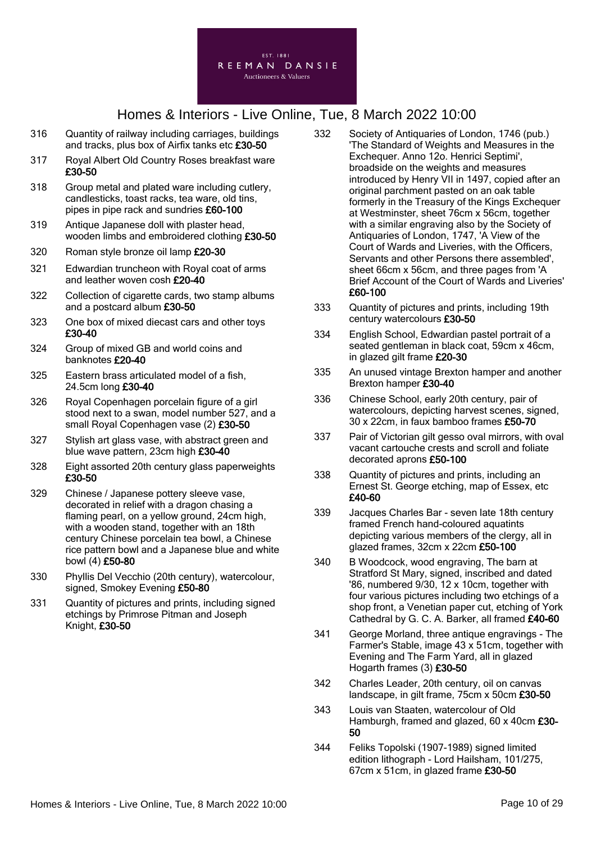

- 316 Quantity of railway including carriages, buildings and tracks, plus box of Airfix tanks etc £30-50
- 317 Royal Albert Old Country Roses breakfast ware £30-50
- 318 Group metal and plated ware including cutlery, candlesticks, toast racks, tea ware, old tins, pipes in pipe rack and sundries £60-100
- 319 Antique Japanese doll with plaster head, wooden limbs and embroidered clothing £30-50
- 320 Roman style bronze oil lamp £20-30
- 321 Edwardian truncheon with Royal coat of arms and leather woven cosh £20-40
- 322 Collection of cigarette cards, two stamp albums and a postcard album £30-50
- 323 One box of mixed diecast cars and other toys £30-40
- 324 Group of mixed GB and world coins and banknotes £20-40
- 325 Eastern brass articulated model of a fish, 24.5cm long £30-40
- 326 Royal Copenhagen porcelain figure of a girl stood next to a swan, model number 527, and a small Royal Copenhagen vase (2) £30-50
- 327 Stylish art glass vase, with abstract green and blue wave pattern, 23cm high £30-40
- 328 Eight assorted 20th century glass paperweights £30-50
- 329 Chinese / Japanese pottery sleeve vase, decorated in relief with a dragon chasing a flaming pearl, on a yellow ground, 24cm high, with a wooden stand, together with an 18th century Chinese porcelain tea bowl, a Chinese rice pattern bowl and a Japanese blue and white bowl (4) £50-80
- 330 Phyllis Del Vecchio (20th century), watercolour, signed, Smokey Evening £50-80
- 331 Quantity of pictures and prints, including signed etchings by Primrose Pitman and Joseph Knight, £30-50
- 332 Society of Antiquaries of London, 1746 (pub.) 'The Standard of Weights and Measures in the Exchequer. Anno 12o. Henrici Septimi', broadside on the weights and measures introduced by Henry VII in 1497, copied after an original parchment pasted on an oak table formerly in the Treasury of the Kings Exchequer at Westminster, sheet 76cm x 56cm, together with a similar engraving also by the Society of Antiquaries of London, 1747, 'A View of the Court of Wards and Liveries, with the Officers, Servants and other Persons there assembled', sheet 66cm x 56cm, and three pages from 'A Brief Account of the Court of Wards and Liveries' £60-100
- 333 Quantity of pictures and prints, including 19th century watercolours £30-50
- 334 English School, Edwardian pastel portrait of a seated gentleman in black coat, 59cm x 46cm, in glazed gilt frame £20-30
- 335 An unused vintage Brexton hamper and another Brexton hamper £30-40
- 336 Chinese School, early 20th century, pair of watercolours, depicting harvest scenes, signed, 30 x 22cm, in faux bamboo frames £50-70
- 337 Pair of Victorian gilt gesso oval mirrors, with oval vacant cartouche crests and scroll and foliate decorated aprons £50-100
- 338 Quantity of pictures and prints, including an Ernest St. George etching, map of Essex, etc £40-60
- 339 Jacques Charles Bar seven late 18th century framed French hand-coloured aquatints depicting various members of the clergy, all in glazed frames, 32cm x 22cm £50-100
- 340 B Woodcock, wood engraving, The barn at Stratford St Mary, signed, inscribed and dated '86, numbered 9/30, 12 x 10cm, together with four various pictures including two etchings of a shop front, a Venetian paper cut, etching of York Cathedral by G. C. A. Barker, all framed £40-60
- 341 George Morland, three antique engravings The Farmer's Stable, image 43 x 51cm, together with Evening and The Farm Yard, all in glazed Hogarth frames (3) £30-50
- 342 Charles Leader, 20th century, oil on canvas landscape, in gilt frame, 75cm x 50cm £30-50
- 343 Louis van Staaten, watercolour of Old Hamburgh, framed and glazed, 60 x 40cm £30-50
- 344 Feliks Topolski (1907-1989) signed limited edition lithograph - Lord Hailsham, 101/275, 67cm x 51cm, in glazed frame £30-50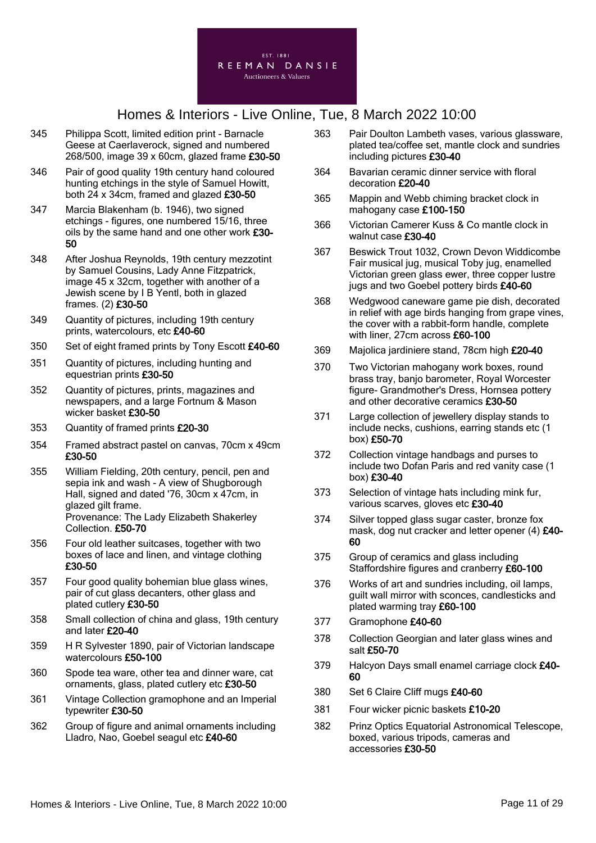

- 345 Philippa Scott, limited edition print Barnacle Geese at Caerlaverock, signed and numbered 268/500, image 39 x 60cm, glazed frame £30-50
- 346 Pair of good quality 19th century hand coloured hunting etchings in the style of Samuel Howitt, both 24 x 34cm, framed and glazed £30-50
- 347 Marcia Blakenham (b. 1946), two signed etchings - figures, one numbered 15/16, three oils by the same hand and one other work £30- 50
- 348 After Joshua Reynolds, 19th century mezzotint by Samuel Cousins, Lady Anne Fitzpatrick, image 45 x 32cm, together with another of a Jewish scene by I B Yentl, both in glazed frames. (2) £30-50
- 349 Quantity of pictures, including 19th century prints, watercolours, etc £40-60
- 350 Set of eight framed prints by Tony Escott £40-60
- 351 Quantity of pictures, including hunting and equestrian prints £30-50
- 352 Quantity of pictures, prints, magazines and newspapers, and a large Fortnum & Mason wicker basket £30-50
- 353 Quantity of framed prints £20-30
- 354 Framed abstract pastel on canvas, 70cm x 49cm £30-50
- 355 William Fielding, 20th century, pencil, pen and sepia ink and wash - A view of Shugborough Hall, signed and dated '76, 30cm x 47cm, in glazed gilt frame. Provenance: The Lady Elizabeth Shakerley Collection. £50-70
- 356 Four old leather suitcases, together with two boxes of lace and linen, and vintage clothing £30-50
- 357 Four good quality bohemian blue glass wines, pair of cut glass decanters, other glass and plated cutlery £30-50
- 358 Small collection of china and glass, 19th century and later £20-40
- 359 H R Sylvester 1890, pair of Victorian landscape watercolours £50-100
- 360 Spode tea ware, other tea and dinner ware, cat ornaments, glass, plated cutlery etc £30-50
- 361 Vintage Collection gramophone and an Imperial typewriter £30-50
- 362 Group of figure and animal ornaments including Lladro, Nao, Goebel seagul etc £40-60
- 363 Pair Doulton Lambeth vases, various glassware, plated tea/coffee set, mantle clock and sundries including pictures £30-40
- 364 Bavarian ceramic dinner service with floral decoration £20-40
- 365 Mappin and Webb chiming bracket clock in mahogany case £100-150
- 366 Victorian Camerer Kuss & Co mantle clock in walnut case £30-40
- 367 Beswick Trout 1032, Crown Devon Widdicombe Fair musical jug, musical Toby jug, enamelled Victorian green glass ewer, three copper lustre jugs and two Goebel pottery birds £40-60
- 368 Wedgwood caneware game pie dish, decorated in relief with age birds hanging from grape vines, the cover with a rabbit-form handle, complete with liner, 27cm across £60-100
- 369 Majolica jardiniere stand, 78cm high £20-40
- 370 Two Victorian mahogany work boxes, round brass tray, banjo barometer, Royal Worcester figure- Grandmother's Dress, Hornsea pottery and other decorative ceramics £30-50
- 371 Large collection of jewellery display stands to include necks, cushions, earring stands etc (1 box) £50-70
- 372 Collection vintage handbags and purses to include two Dofan Paris and red vanity case (1 box) £30-40
- 373 Selection of vintage hats including mink fur, various scarves, gloves etc £30-40
- 374 Silver topped glass sugar caster, bronze fox mask, dog nut cracker and letter opener (4) £40-60
- 375 Group of ceramics and glass including Staffordshire figures and cranberry £60-100
- 376 Works of art and sundries including, oil lamps, guilt wall mirror with sconces, candlesticks and plated warming tray £60-100
- 377 Gramophone £40-60
- 378 Collection Georgian and later glass wines and salt £50-70
- 379 Halcyon Days small enamel carriage clock £40-60
- 380 Set 6 Claire Cliff mugs £40-60
- 381 Four wicker picnic baskets £10-20
- 382 Prinz Optics Equatorial Astronomical Telescope, boxed, various tripods, cameras and accessories £30-50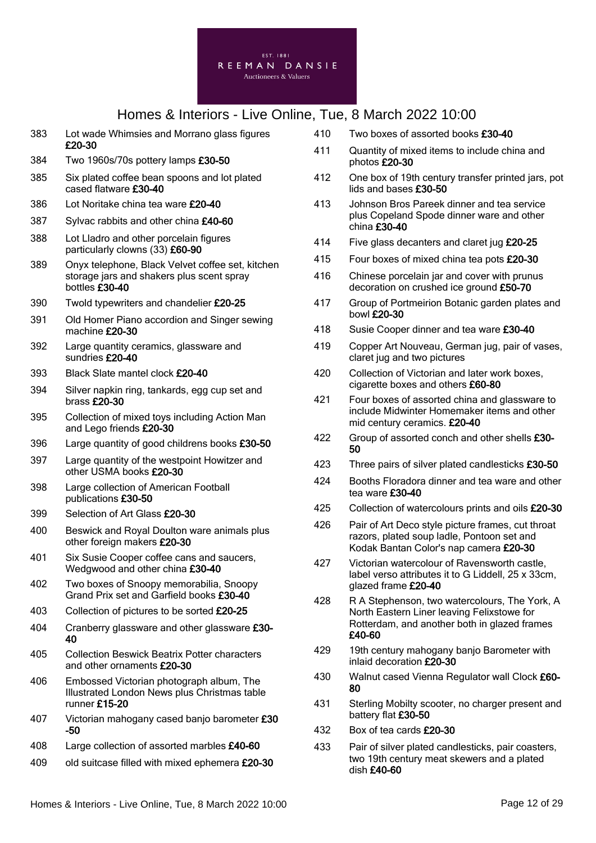

- 383 Lot wade Whimsies and Morrano glass figures £20-30 384 Two 1960s/70s pottery lamps £30-50 385 Six plated coffee bean spoons and lot plated cased flatware £30-40 386 Lot Noritake china tea ware £20-40 387 Sylvac rabbits and other china £40-60 388 Lot Lladro and other porcelain figures particularly clowns (33) £60-90 389 Onyx telephone, Black Velvet coffee set, kitchen storage jars and shakers plus scent spray bottles £30-40 390 Twold typewriters and chandelier £20-25 391 Old Homer Piano accordion and Singer sewing machine £20-30 392 Large quantity ceramics, glassware and sundries £20-40 393 Black Slate mantel clock £20-40 394 Silver napkin ring, tankards, egg cup set and brass £20-30 395 Collection of mixed toys including Action Man and Lego friends £20-30 396 Large quantity of good childrens books £30-50 397 Large quantity of the westpoint Howitzer and other USMA books £20-30 398 Large collection of American Football publications £30-50
	- 399 Selection of Art Glass £20-30
	- 400 Beswick and Royal Doulton ware animals plus other foreign makers £20-30
- 401 Six Susie Cooper coffee cans and saucers, Wedgwood and other china £30-40
- 402 Two boxes of Snoopy memorabilia, Snoopy Grand Prix set and Garfield books £30-40
- 403 Collection of pictures to be sorted £20-25
- 404 Cranberry glassware and other glassware £30-40
- 405 Collection Beswick Beatrix Potter characters and other ornaments £20-30
- 406 Embossed Victorian photograph album, The Illustrated London News plus Christmas table runner £15-20
- 407 Victorian mahogany cased banjo barometer £30 -50
- 408 Large collection of assorted marbles £40-60
- 409 old suitcase filled with mixed ephemera £20-30
- 410 Two boxes of assorted books £30-40
- 411 Quantity of mixed items to include china and photos £20-30
- 412 One box of 19th century transfer printed jars, pot lids and bases £30-50
- 413 Johnson Bros Pareek dinner and tea service plus Copeland Spode dinner ware and other  $\overline{\text{china}}$  £30-40
- 414 Five glass decanters and claret jug £20-25
- 415 Four boxes of mixed china tea pots £20-30
- 416 Chinese porcelain jar and cover with prunus decoration on crushed ice ground £50-70
- 417 Group of Portmeirion Botanic garden plates and bowl £20-30
- 418 Susie Cooper dinner and tea ware £30-40
- 419 Copper Art Nouveau, German jug, pair of vases, claret jug and two pictures
- 420 Collection of Victorian and later work boxes, cigarette boxes and others £60-80
- 421 Four boxes of assorted china and glassware to include Midwinter Homemaker items and other mid century ceramics. £20-40
- 422 Group of assorted conch and other shells £30-50
- 423 Three pairs of silver plated candlesticks £30-50
- 424 Booths Floradora dinner and tea ware and other tea ware £30-40
- 425 Collection of watercolours prints and oils £20-30
- 426 Pair of Art Deco style picture frames, cut throat razors, plated soup ladle, Pontoon set and Kodak Bantan Color's nap camera £20-30
- 427 Victorian watercolour of Ravensworth castle, label verso attributes it to G Liddell, 25 x 33cm, glazed frame £20-40
- 428 R A Stephenson, two watercolours, The York, A North Eastern Liner leaving Felixstowe for Rotterdam, and another both in glazed frames £40-60
- 429 19th century mahogany banjo Barometer with inlaid decoration £20-30
- 430 Walnut cased Vienna Regulator wall Clock £60-80
- 431 Sterling Mobilty scooter, no charger present and battery flat £30-50
- 432 Box of tea cards £20-30
- 433 Pair of silver plated candlesticks, pair coasters, two 19th century meat skewers and a plated dish £40-60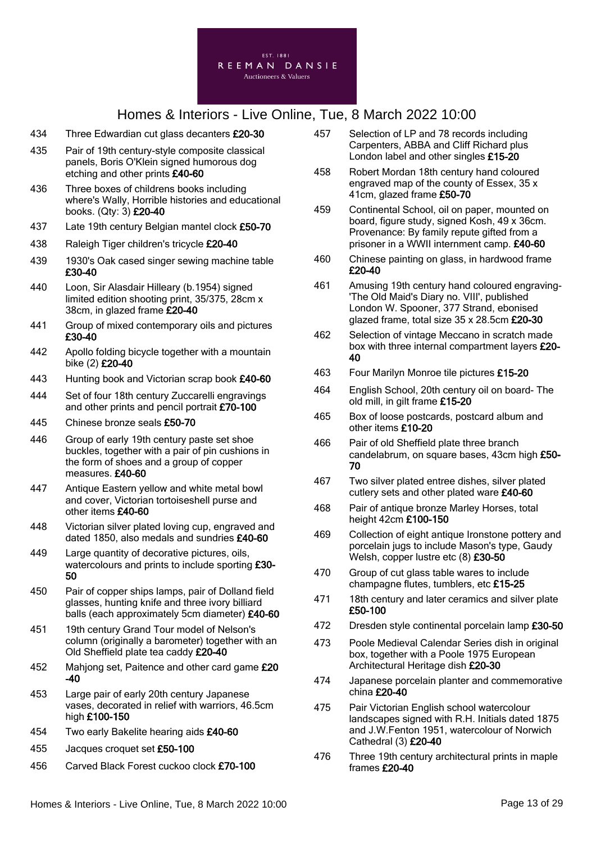

- 434 Three Edwardian cut glass decanters £20-30
- 435 Pair of 19th century-style composite classical panels, Boris O'Klein signed humorous dog etching and other prints £40-60
- 436 Three boxes of childrens books including where's Wally, Horrible histories and educational books. (Qty: 3) £20-40
- 437 Late 19th century Belgian mantel clock £50-70
- 438 Raleigh Tiger children's tricycle £20-40
- 439 1930's Oak cased singer sewing machine table £30-40
- 440 Loon, Sir Alasdair Hilleary (b.1954) signed limited edition shooting print, 35/375, 28cm x 38cm, in glazed frame £20-40
- 441 Group of mixed contemporary oils and pictures £30-40
- 442 Apollo folding bicycle together with a mountain bike (2) £20-40
- 443 Hunting book and Victorian scrap book £40-60
- 444 Set of four 18th century Zuccarelli engravings and other prints and pencil portrait £70-100
- 445 Chinese bronze seals £50-70
- 446 Group of early 19th century paste set shoe buckles, together with a pair of pin cushions in the form of shoes and a group of copper measures. £40-60
- 447 Antique Eastern yellow and white metal bowl and cover, Victorian tortoiseshell purse and other items £40-60
- 448 Victorian silver plated loving cup, engraved and dated 1850, also medals and sundries £40-60
- 449 Large quantity of decorative pictures, oils, watercolours and prints to include sporting £30-50
- 450 Pair of copper ships lamps, pair of Dolland field glasses, hunting knife and three ivory billiard balls (each approximately 5cm diameter) £40-60
- 451 19th century Grand Tour model of Nelson's column (originally a barometer) together with an Old Sheffield plate tea caddy £20-40
- 452 Mahjong set, Paitence and other card game £20 -40
- 453 Large pair of early 20th century Japanese vases, decorated in relief with warriors, 46.5cm high £100-150
- 454 Two early Bakelite hearing aids £40-60
- 455 Jacques croquet set £50-100
- 456 Carved Black Forest cuckoo clock £70-100
- 457 Selection of LP and 78 records including Carpenters, ABBA and Cliff Richard plus London label and other singles £15-20
- 458 Robert Mordan 18th century hand coloured engraved map of the county of Essex, 35 x 41cm, glazed frame £50-70
- 459 Continental School, oil on paper, mounted on board, figure study, signed Kosh, 49 x 36cm. Provenance: By family repute gifted from a prisoner in a WWII internment camp. £40-60
- 460 Chinese painting on glass, in hardwood frame £20-40
- 461 Amusing 19th century hand coloured engraving- 'The Old Maid's Diary no. VIII', published London W. Spooner, 377 Strand, ebonised glazed frame, total size 35 x 28.5cm £20-30
- 462 Selection of vintage Meccano in scratch made box with three internal compartment layers £20-40
- 463 Four Marilyn Monroe tile pictures £15-20
- 464 English School, 20th century oil on board- The old mill, in gilt frame £15-20
- 465 Box of loose postcards, postcard album and other items £10-20
- 466 Pair of old Sheffield plate three branch candelabrum, on square bases, 43cm high £50- 70
- 467 Two silver plated entree dishes, silver plated cutlery sets and other plated ware £40-60
- 468 Pair of antique bronze Marley Horses, total height 42cm £100-150
- 469 Collection of eight antique Ironstone pottery and porcelain jugs to include Mason's type, Gaudy Welsh, copper lustre etc (8) £30-50
- 470 Group of cut glass table wares to include champagne flutes, tumblers, etc £15-25
- 471 18th century and later ceramics and silver plate £50-100
- 472 Dresden style continental porcelain lamp £30-50
- 473 Poole Medieval Calendar Series dish in original box, together with a Poole 1975 European Architectural Heritage dish £20-30
- 474 Japanese porcelain planter and commemorative china £20-40
- 475 Pair Victorian English school watercolour landscapes signed with R.H. Initials dated 1875 and J.W.Fenton 1951, watercolour of Norwich Cathedral (3) £20-40
- 476 Three 19th century architectural prints in maple frames £20-40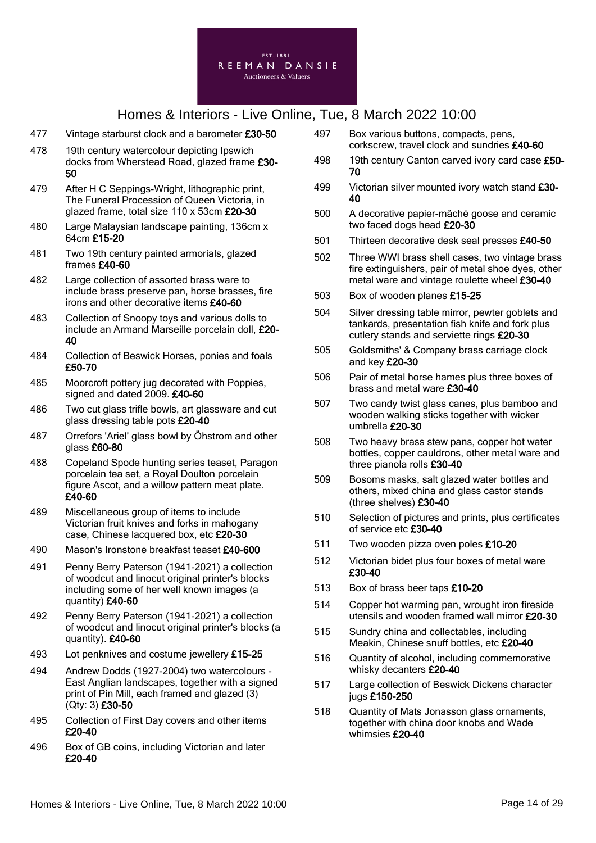

- 477 Vintage starburst clock and a barometer £30-50
- 478 19th century watercolour depicting Ipswich docks from Wherstead Road, glazed frame £30- 50
- 479 After H C Seppings-Wright, lithographic print, The Funeral Procession of Queen Victoria, in glazed frame, total size 110 x 53cm £20-30
- 480 Large Malaysian landscape painting, 136cm x 64cm £15-20
- 481 Two 19th century painted armorials, glazed frames £40-60
- 482 Large collection of assorted brass ware to include brass preserve pan, horse brasses, fire irons and other decorative items £40-60
- 483 Collection of Snoopy toys and various dolls to include an Armand Marseille porcelain doll, £20- 40
- 484 Collection of Beswick Horses, ponies and foals £50-70
- 485 Moorcroft pottery jug decorated with Poppies, signed and dated 2009. £40-60
- 486 Two cut glass trifle bowls, art glassware and cut glass dressing table pots £20-40
- 487 Orrefors 'Ariel' glass bowl by Öhstrom and other glass £60-80
- 488 Copeland Spode hunting series teaset, Paragon porcelain tea set, a Royal Doulton porcelain figure Ascot, and a willow pattern meat plate. £40-60
- 489 Miscellaneous group of items to include Victorian fruit knives and forks in mahogany case, Chinese lacquered box, etc £20-30
- 490 Mason's Ironstone breakfast teaset £40-600
- 491 Penny Berry Paterson (1941-2021) a collection of woodcut and linocut original printer's blocks including some of her well known images (a quantity) £40-60
- 492 Penny Berry Paterson (1941-2021) a collection of woodcut and linocut original printer's blocks (a quantity). £40-60
- 493 Lot penknives and costume jewellery £15-25
- 494 Andrew Dodds (1927-2004) two watercolours East Anglian landscapes, together with a signed print of Pin Mill, each framed and glazed (3) (Qty: 3) £30-50
- 495 Collection of First Day covers and other items £20-40
- 496 Box of GB coins, including Victorian and later £20-40
- 497 Box various buttons, compacts, pens, corkscrew, travel clock and sundries £40-60
- 498 19th century Canton carved ivory card case £50-70
- 499 Victorian silver mounted ivory watch stand £30-40
- 500 A decorative papier-mâché goose and ceramic two faced dogs head £20-30
- 501 Thirteen decorative desk seal presses £40-50
- 502 Three WWI brass shell cases, two vintage brass fire extinguishers, pair of metal shoe dyes, other metal ware and vintage roulette wheel £30-40
- 503 Box of wooden planes £15-25
- 504 Silver dressing table mirror, pewter goblets and tankards, presentation fish knife and fork plus cutlery stands and serviette rings £20-30
- 505 Goldsmiths' & Company brass carriage clock and key £20-30
- 506 Pair of metal horse hames plus three boxes of brass and metal ware £30-40
- 507 Two candy twist glass canes, plus bamboo and wooden walking sticks together with wicker umbrella £20-30
- 508 Two heavy brass stew pans, copper hot water bottles, copper cauldrons, other metal ware and three pianola rolls £30-40
- 509 Bosoms masks, salt glazed water bottles and others, mixed china and glass castor stands (three shelves) £30-40
- 510 Selection of pictures and prints, plus certificates of service etc £30-40
- 511 Two wooden pizza oven poles £10-20
- 512 Victorian bidet plus four boxes of metal ware £30-40
- 513 Box of brass beer taps £10-20
- 514 Copper hot warming pan, wrought iron fireside utensils and wooden framed wall mirror £20-30
- 515 Sundry china and collectables, including Meakin, Chinese snuff bottles, etc £20-40
- 516 Quantity of alcohol, including commemorative whisky decanters £20-40
- 517 Large collection of Beswick Dickens character jugs £150-250
- 518 Quantity of Mats Jonasson glass ornaments, together with china door knobs and Wade whimsies £20-40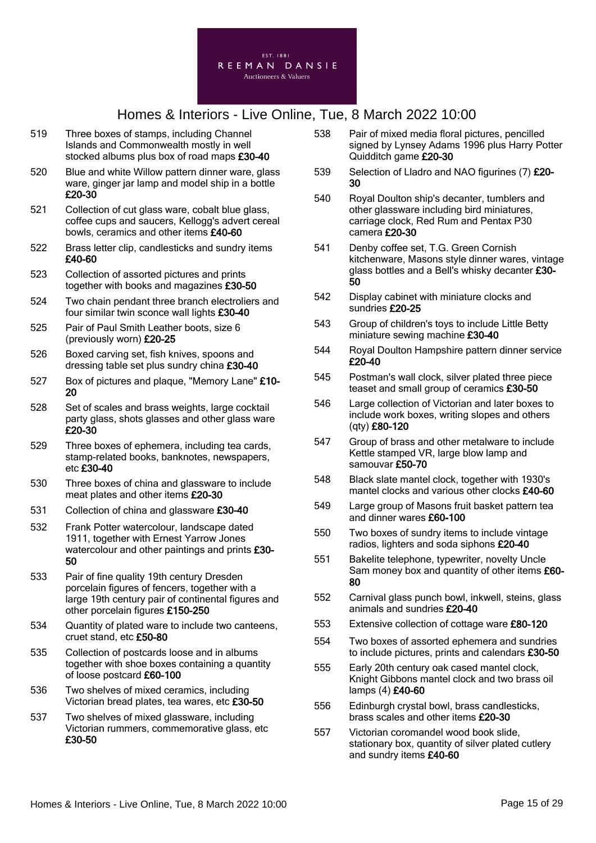

- 519 Three boxes of stamps, including Channel Islands and Commonwealth mostly in well stocked albums plus box of road maps £30-40
- 520 Blue and white Willow pattern dinner ware, glass ware, ginger jar lamp and model ship in a bottle £20-30
- 521 Collection of cut glass ware, cobalt blue glass, coffee cups and saucers, Kellogg's advert cereal bowls, ceramics and other items £40-60
- 522 Brass letter clip, candlesticks and sundry items £40-60
- 523 Collection of assorted pictures and prints together with books and magazines £30-50
- 524 Two chain pendant three branch electroliers and four similar twin sconce wall lights £30-40
- 525 Pair of Paul Smith Leather boots, size 6 (previously worn) £20-25
- 526 Boxed carving set, fish knives, spoons and dressing table set plus sundry china £30-40
- 527 Box of pictures and plaque, "Memory Lane" £10-20
- 528 Set of scales and brass weights, large cocktail party glass, shots glasses and other glass ware £20-30
- 529 Three boxes of ephemera, including tea cards, stamp-related books, banknotes, newspapers, etc £30-40
- 530 Three boxes of china and glassware to include meat plates and other items £20-30
- 531 Collection of china and glassware £30-40
- 532 Frank Potter watercolour, landscape dated 1911, together with Ernest Yarrow Jones watercolour and other paintings and prints £30-50
- 533 Pair of fine quality 19th century Dresden porcelain figures of fencers, together with a large 19th century pair of continental figures and other porcelain figures £150-250
- 534 Quantity of plated ware to include two canteens, cruet stand, etc £50-80
- 535 Collection of postcards loose and in albums together with shoe boxes containing a quantity of loose postcard £60-100
- 536 Two shelves of mixed ceramics, including Victorian bread plates, tea wares, etc £30-50
- 537 Two shelves of mixed glassware, including Victorian rummers, commemorative glass, etc £30-50
- 538 Pair of mixed media floral pictures, pencilled signed by Lynsey Adams 1996 plus Harry Potter Quidditch game £20-30
- 539 Selection of Lladro and NAO figurines (7) £20-30
- 540 Royal Doulton ship's decanter, tumblers and other glassware including bird miniatures, carriage clock, Red Rum and Pentax P30 camera £20-30
- 541 Denby coffee set, T.G. Green Cornish kitchenware, Masons style dinner wares, vintage glass bottles and a Bell's whisky decanter  $£30-$ 50
- 542 Display cabinet with miniature clocks and sundries £20-25
- 543 Group of children's toys to include Little Betty miniature sewing machine £30-40
- 544 Royal Doulton Hampshire pattern dinner service £20-40
- 545 Postman's wall clock, silver plated three piece teaset and small group of ceramics £30-50
- 546 Large collection of Victorian and later boxes to include work boxes, writing slopes and others (qty) £80-120
- 547 Group of brass and other metalware to include Kettle stamped VR, large blow lamp and samouvar £50-70
- 548 Black slate mantel clock, together with 1930's mantel clocks and various other clocks £40-60
- 549 Large group of Masons fruit basket pattern tea and dinner wares £60-100
- 550 Two boxes of sundry items to include vintage radios, lighters and soda siphons £20-40
- 551 Bakelite telephone, typewriter, novelty Uncle Sam money box and quantity of other items £60- 80
- 552 Carnival glass punch bowl, inkwell, steins, glass animals and sundries £20-40
- 553 Extensive collection of cottage ware £80-120
- 554 Two boxes of assorted ephemera and sundries to include pictures, prints and calendars £30-50
- 555 Early 20th century oak cased mantel clock, Knight Gibbons mantel clock and two brass oil lamps (4) £40-60
- 556 Edinburgh crystal bowl, brass candlesticks, brass scales and other items £20-30
- 557 Victorian coromandel wood book slide, stationary box, quantity of silver plated cutlery and sundry items £40-60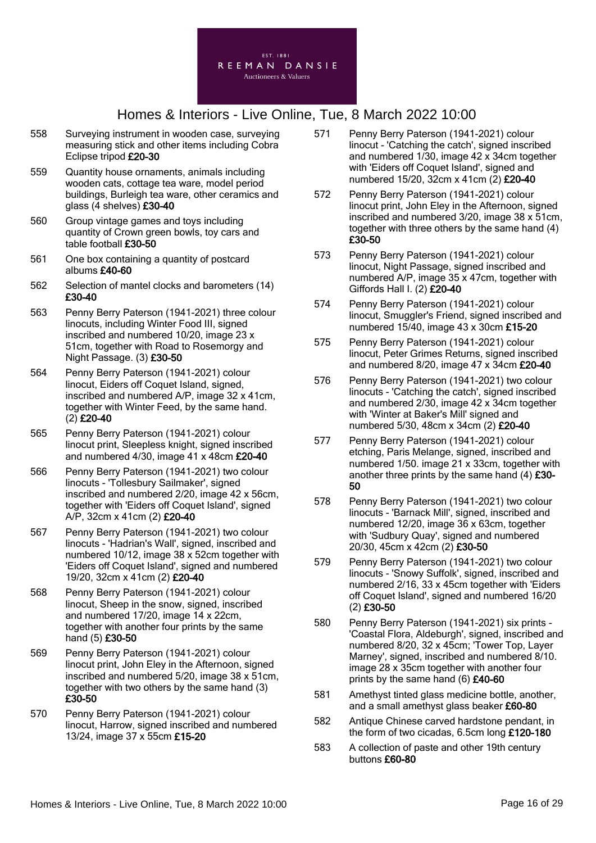

- 558 Surveying instrument in wooden case, surveying measuring stick and other items including Cobra Eclipse tripod £20-30
- 559 Quantity house ornaments, animals including wooden cats, cottage tea ware, model period buildings, Burleigh tea ware, other ceramics and glass (4 shelves) £30-40
- 560 Group vintage games and toys including quantity of Crown green bowls, toy cars and table football £30-50
- 561 One box containing a quantity of postcard albums £40-60
- 562 Selection of mantel clocks and barometers (14) £30-40
- 563 Penny Berry Paterson (1941-2021) three colour linocuts, including Winter Food III, signed inscribed and numbered 10/20, image 23 x 51cm, together with Road to Rosemorgy and Night Passage. (3) £30-50
- 564 Penny Berry Paterson (1941-2021) colour linocut, Eiders off Coquet Island, signed, inscribed and numbered A/P, image 32 x 41cm, together with Winter Feed, by the same hand. (2) £20-40
- 565 Penny Berry Paterson (1941-2021) colour linocut print, Sleepless knight, signed inscribed and numbered 4/30, image 41 x 48cm £20-40
- 566 Penny Berry Paterson (1941-2021) two colour linocuts - 'Tollesbury Sailmaker', signed inscribed and numbered 2/20, image 42 x 56cm, together with 'Eiders off Coquet Island', signed A/P, 32cm x 41cm (2) £20-40
- 567 Penny Berry Paterson (1941-2021) two colour linocuts - 'Hadrian's Wall', signed, inscribed and numbered 10/12, image 38 x 52cm together with 'Eiders off Coquet Island', signed and numbered 19/20, 32cm x 41cm (2) £20-40
- 568 Penny Berry Paterson (1941-2021) colour linocut, Sheep in the snow, signed, inscribed and numbered 17/20, image 14 x 22cm, together with another four prints by the same hand (5) £30-50
- 569 Penny Berry Paterson (1941-2021) colour linocut print, John Eley in the Afternoon, signed inscribed and numbered 5/20, image 38 x 51cm, together with two others by the same hand (3) £30-50
- 570 Penny Berry Paterson (1941-2021) colour linocut, Harrow, signed inscribed and numbered 13/24, image 37 x 55cm £15-20
- 571 Penny Berry Paterson (1941-2021) colour linocut - 'Catching the catch', signed inscribed and numbered 1/30, image 42 x 34cm together with 'Eiders off Coquet Island', signed and numbered 15/20, 32cm x 41cm (2) £20-40
- 572 Penny Berry Paterson (1941-2021) colour linocut print, John Eley in the Afternoon, signed inscribed and numbered 3/20, image 38 x 51cm, together with three others by the same hand (4) £30-50
- 573 Penny Berry Paterson (1941-2021) colour linocut, Night Passage, signed inscribed and numbered A/P, image 35 x 47cm, together with Giffords Hall I. (2) £20-40
- 574 Penny Berry Paterson (1941-2021) colour linocut, Smuggler's Friend, signed inscribed and numbered 15/40, image 43 x 30cm £15-20
- 575 Penny Berry Paterson (1941-2021) colour linocut, Peter Grimes Returns, signed inscribed and numbered 8/20, image 47 x 34cm £20-40
- 576 Penny Berry Paterson (1941-2021) two colour linocuts - 'Catching the catch', signed inscribed and numbered 2/30, image 42 x 34cm together with 'Winter at Baker's Mill' signed and numbered 5/30, 48cm x 34cm (2) £20-40
- 577 Penny Berry Paterson (1941-2021) colour etching, Paris Melange, signed, inscribed and numbered 1/50. image 21 x 33cm, together with another three prints by the same hand  $(4)$  £30-50
- 578 Penny Berry Paterson (1941-2021) two colour linocuts - 'Barnack Mill', signed, inscribed and numbered 12/20, image 36 x 63cm, together with 'Sudbury Quay', signed and numbered 20/30, 45cm x 42cm (2) £30-50
- 579 Penny Berry Paterson (1941-2021) two colour linocuts - 'Snowy Suffolk', signed, inscribed and numbered 2/16, 33 x 45cm together with 'Eiders off Coquet Island', signed and numbered 16/20 (2) £30-50
- 580 Penny Berry Paterson (1941-2021) six prints 'Coastal Flora, Aldeburgh', signed, inscribed and numbered 8/20, 32 x 45cm; 'Tower Top, Layer Marney', signed, inscribed and numbered 8/10. image 28 x 35cm together with another four prints by the same hand (6) £40-60
- 581 Amethyst tinted glass medicine bottle, another, and a small amethyst glass beaker £60-80
- 582 Antique Chinese carved hardstone pendant, in the form of two cicadas, 6.5cm long £120-180
- 583 A collection of paste and other 19th century buttons £60-80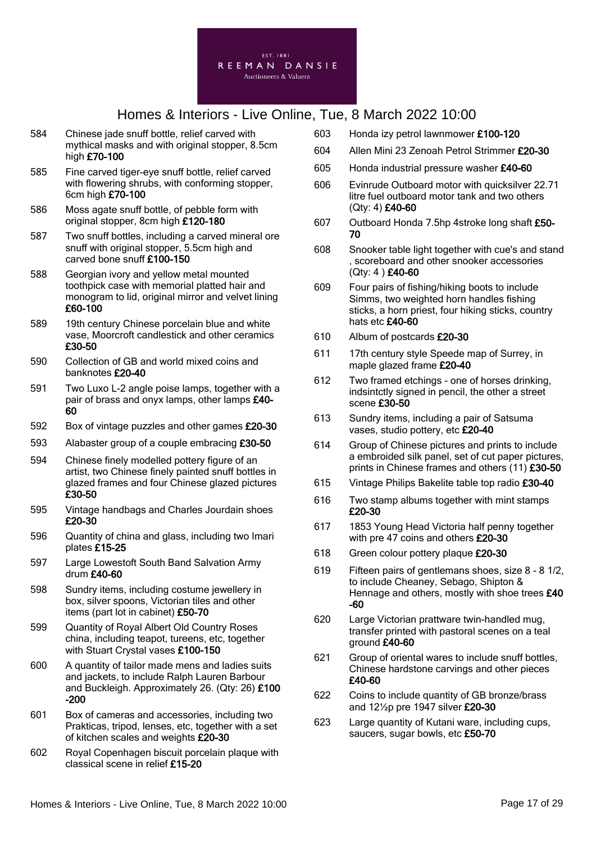

- 584 Chinese jade snuff bottle, relief carved with mythical masks and with original stopper, 8.5cm high £70-100
- 585 Fine carved tiger-eye snuff bottle, relief carved with flowering shrubs, with conforming stopper, 6cm high £70-100
- 586 Moss agate snuff bottle, of pebble form with original stopper, 8cm high £120-180
- 587 Two snuff bottles, including a carved mineral ore snuff with original stopper, 5.5cm high and carved bone snuff £100-150
- 588 Georgian ivory and yellow metal mounted toothpick case with memorial platted hair and monogram to lid, original mirror and velvet lining £60-100
- 589 19th century Chinese porcelain blue and white vase, Moorcroft candlestick and other ceramics £30-50
- 590 Collection of GB and world mixed coins and banknotes £20-40
- 591 Two Luxo L-2 angle poise lamps, together with a pair of brass and onyx lamps, other lamps £40- 60
- 592 Box of vintage puzzles and other games £20-30
- 593 Alabaster group of a couple embracing £30-50
- 594 Chinese finely modelled pottery figure of an artist, two Chinese finely painted snuff bottles in glazed frames and four Chinese glazed pictures £30-50
- 595 Vintage handbags and Charles Jourdain shoes £20-30
- 596 Quantity of china and glass, including two Imari plates £15-25
- 597 Large Lowestoft South Band Salvation Army drum £40-60
- 598 Sundry items, including costume jewellery in box, silver spoons, Victorian tiles and other items (part lot in cabinet) £50-70
- 599 Quantity of Royal Albert Old Country Roses china, including teapot, tureens, etc, together with Stuart Crystal vases £100-150
- 600 A quantity of tailor made mens and ladies suits and jackets, to include Ralph Lauren Barbour and Buckleigh. Approximately 26. (Qty: 26) £100 -200
- 601 Box of cameras and accessories, including two Prakticas, tripod, lenses, etc, together with a set of kitchen scales and weights £20-30
- 602 Royal Copenhagen biscuit porcelain plaque with classical scene in relief £15-20
- 603 Honda izy petrol lawnmower £100-120
- 604 Allen Mini 23 Zenoah Petrol Strimmer £20-30
- 605 Honda industrial pressure washer £40-60
- 606 Evinrude Outboard motor with quicksilver 22.71 litre fuel outboard motor tank and two others (Qty: 4) £40-60
- 607 Outboard Honda 7.5hp 4stroke long shaft £50- 70
- 608 Snooker table light together with cue's and stand , scoreboard and other snooker accessories (Qty: 4 ) £40-60
- 609 Four pairs of fishing/hiking boots to include Simms, two weighted horn handles fishing sticks, a horn priest, four hiking sticks, country hats etc £40-60
- 610 Album of postcards £20-30
- 611 17th century style Speede map of Surrey, in maple glazed frame £20-40
- 612 Two framed etchings one of horses drinking, indsintctly signed in pencil, the other a street scene £30-50
- 613 Sundry items, including a pair of Satsuma vases, studio pottery, etc £20-40
- 614 Group of Chinese pictures and prints to include a embroided silk panel, set of cut paper pictures, prints in Chinese frames and others (11) £30-50
- 615 Vintage Philips Bakelite table top radio £30-40
- 616 Two stamp albums together with mint stamps £20-30
- 617 1853 Young Head Victoria half penny together with pre 47 coins and others £20-30
- 618 Green colour pottery plaque £20-30
- 619 Fifteen pairs of gentlemans shoes, size 8 8 1/2, to include Cheaney, Sebago, Shipton & Hennage and others, mostly with shoe trees £40 -60
- 620 Large Victorian prattware twin-handled mug, transfer printed with pastoral scenes on a teal around  $E$ 40-60
- 621 Group of oriental wares to include snuff bottles, Chinese hardstone carvings and other pieces £40-60
- 622 Coins to include quantity of GB bronze/brass and 12½p pre 1947 silver £20-30
- 623 Large quantity of Kutani ware, including cups, saucers, sugar bowls, etc £50-70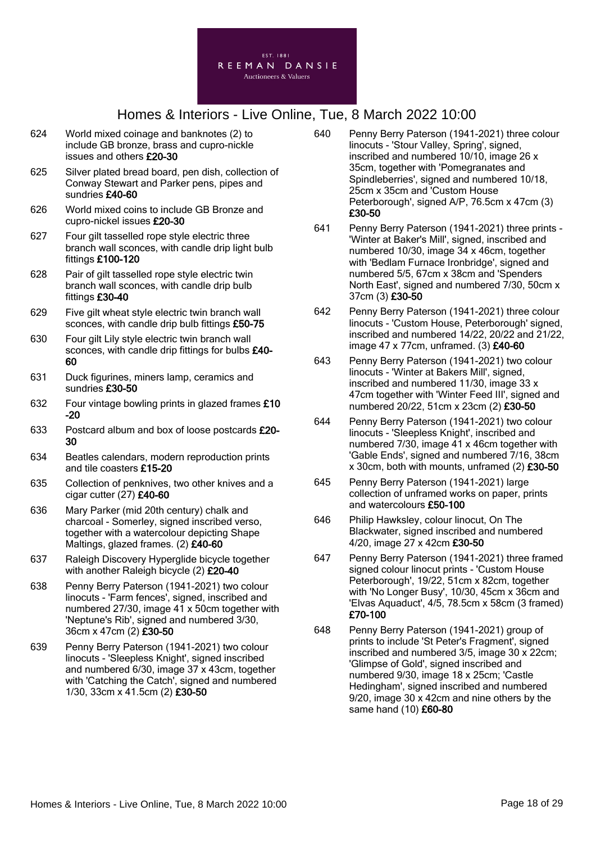

- 624 World mixed coinage and banknotes (2) to include GB bronze, brass and cupro-nickle issues and others £20-30
- 625 Silver plated bread board, pen dish, collection of Conway Stewart and Parker pens, pipes and sundries £40-60
- 626 World mixed coins to include GB Bronze and cupro-nickel issues £20-30
- 627 Four gilt tasselled rope style electric three branch wall sconces, with candle drip light bulb fittings £100-120
- 628 Pair of gilt tasselled rope style electric twin branch wall sconces, with candle drip bulb fittings £30-40
- 629 Five gilt wheat style electric twin branch wall sconces, with candle drip bulb fittings £50-75
- 630 Four gilt Lily style electric twin branch wall sconces, with candle drip fittings for bulbs £40- 60
- 631 Duck figurines, miners lamp, ceramics and sundries £30-50
- 632 Four vintage bowling prints in glazed frames £10 -20
- 633 Postcard album and box of loose postcards £20- 30
- 634 Beatles calendars, modern reproduction prints and tile coasters £15-20
- 635 Collection of penknives, two other knives and a cigar cutter (27) £40-60
- 636 Mary Parker (mid 20th century) chalk and charcoal - Somerley, signed inscribed verso, together with a watercolour depicting Shape Maltings, glazed frames. (2) £40-60
- 637 Raleigh Discovery Hyperglide bicycle together with another Raleigh bicycle (2) £20-40
- 638 Penny Berry Paterson (1941-2021) two colour linocuts - 'Farm fences', signed, inscribed and numbered 27/30, image 41 x 50cm together with 'Neptune's Rib', signed and numbered 3/30, 36cm x 47cm (2) £30-50
- 639 Penny Berry Paterson (1941-2021) two colour linocuts - 'Sleepless Knight', signed inscribed and numbered 6/30, image 37 x 43cm, together with 'Catching the Catch', signed and numbered 1/30, 33cm x 41.5cm (2) £30-50
- 640 Penny Berry Paterson (1941-2021) three colour linocuts - 'Stour Valley, Spring', signed, inscribed and numbered 10/10, image 26 x 35cm, together with 'Pomegranates and Spindleberries', signed and numbered 10/18, 25cm x 35cm and 'Custom House Peterborough', signed A/P, 76.5cm x 47cm (3) £30-50
- 641 Penny Berry Paterson (1941-2021) three prints 'Winter at Baker's Mill', signed, inscribed and numbered 10/30, image 34 x 46cm, together with 'Bedlam Furnace Ironbridge', signed and numbered 5/5, 67cm x 38cm and 'Spenders North East', signed and numbered 7/30, 50cm x 37cm (3) £30-50
- 642 Penny Berry Paterson (1941-2021) three colour linocuts - 'Custom House, Peterborough' signed, inscribed and numbered 14/22, 20/22 and 21/22, image 47 x 77cm, unframed. (3) £40-60
- 643 Penny Berry Paterson (1941-2021) two colour linocuts - 'Winter at Bakers Mill', signed, inscribed and numbered 11/30, image 33 x 47cm together with 'Winter Feed III', signed and numbered 20/22, 51cm x 23cm (2) £30-50
- 644 Penny Berry Paterson (1941-2021) two colour linocuts - 'Sleepless Knight', inscribed and numbered 7/30, image 41 x 46cm together with 'Gable Ends', signed and numbered 7/16, 38cm x 30cm, both with mounts, unframed (2) £30-50
- 645 Penny Berry Paterson (1941-2021) large collection of unframed works on paper, prints and watercolours £50-100
- 646 Philip Hawksley, colour linocut, On The Blackwater, signed inscribed and numbered 4/20, image 27 x 42cm £30-50
- 647 Penny Berry Paterson (1941-2021) three framed signed colour linocut prints - 'Custom House Peterborough', 19/22, 51cm x 82cm, together with 'No Longer Busy', 10/30, 45cm x 36cm and 'Elvas Aquaduct', 4/5, 78.5cm x 58cm (3 framed) £70-100
- 648 Penny Berry Paterson (1941-2021) group of prints to include 'St Peter's Fragment', signed inscribed and numbered 3/5, image 30 x 22cm; 'Glimpse of Gold', signed inscribed and numbered 9/30, image 18 x 25cm; 'Castle Hedingham', signed inscribed and numbered 9/20, image 30 x 42cm and nine others by the same hand (10) £60-80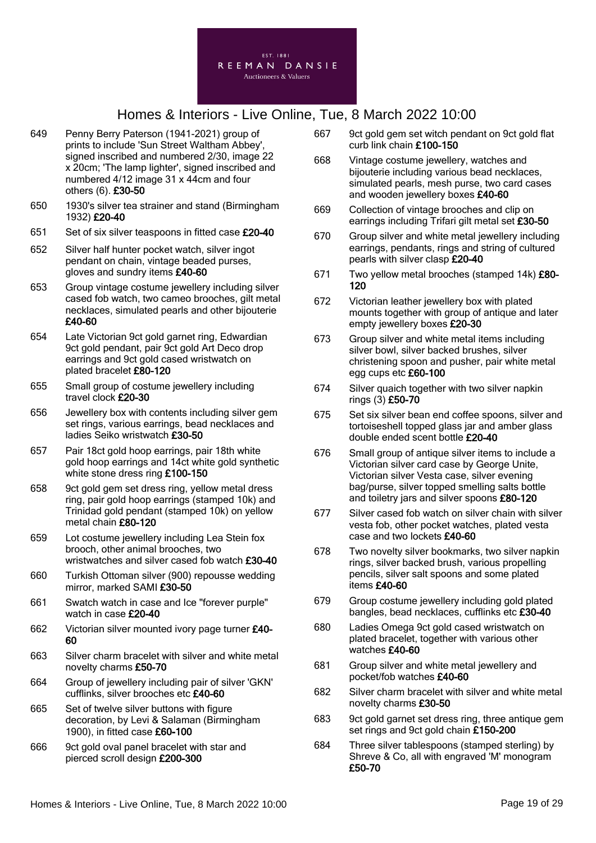

- 649 Penny Berry Paterson (1941-2021) group of prints to include 'Sun Street Waltham Abbey', signed inscribed and numbered 2/30, image 22 x 20cm; 'The lamp lighter', signed inscribed and numbered 4/12 image 31 x 44cm and four others (6). £30-50
- 650 1930's silver tea strainer and stand (Birmingham 1932) £20-40
- 651 Set of six silver teaspoons in fitted case £20-40
- 652 Silver half hunter pocket watch, silver ingot pendant on chain, vintage beaded purses, gloves and sundry items £40-60
- 653 Group vintage costume jewellery including silver cased fob watch, two cameo brooches, gilt metal necklaces, simulated pearls and other bijouterie £40-60
- 654 Late Victorian 9ct gold garnet ring, Edwardian 9ct gold pendant, pair 9ct gold Art Deco drop earrings and 9ct gold cased wristwatch on plated bracelet £80-120
- 655 Small group of costume jewellery including travel clock £20-30
- 656 Jewellery box with contents including silver gem set rings, various earrings, bead necklaces and ladies Seiko wristwatch £30-50
- 657 Pair 18ct gold hoop earrings, pair 18th white gold hoop earrings and 14ct white gold synthetic white stone dress ring £100-150
- 658 9ct gold gem set dress ring, yellow metal dress ring, pair gold hoop earrings (stamped 10k) and Trinidad gold pendant (stamped 10k) on yellow metal chain £80-120
- 659 Lot costume jewellery including Lea Stein fox brooch, other animal brooches, two wristwatches and silver cased fob watch £30-40
- 660 Turkish Ottoman silver (900) repousse wedding mirror, marked SAMI £30-50
- 661 Swatch watch in case and Ice "forever purple" watch in case £20-40
- 662 Victorian silver mounted ivory page turner £40- 60
- 663 Silver charm bracelet with silver and white metal novelty charms £50-70
- 664 Group of jewellery including pair of silver 'GKN' cufflinks, silver brooches etc £40-60
- 665 Set of twelve silver buttons with figure decoration, by Levi & Salaman (Birmingham 1900), in fitted case £60-100
- 666 9ct gold oval panel bracelet with star and pierced scroll design £200-300
- 667 9ct gold gem set witch pendant on 9ct gold flat curb link chain £100-150
- 668 Vintage costume jewellery, watches and bijouterie including various bead necklaces, simulated pearls, mesh purse, two card cases and wooden jewellery boxes £40-60
- 669 Collection of vintage brooches and clip on earrings including Trifari gilt metal set £30-50
- 670 Group silver and white metal jewellery including earrings, pendants, rings and string of cultured pearls with silver clasp £20-40
- 671 Two yellow metal brooches (stamped 14k) £80- 120
- 672 Victorian leather jewellery box with plated mounts together with group of antique and later empty jewellery boxes £20-30
- 673 Group silver and white metal items including silver bowl, silver backed brushes, silver christening spoon and pusher, pair white metal egg cups etc £60-100
- 674 Silver quaich together with two silver napkin rings (3) £50-70
- 675 Set six silver bean end coffee spoons, silver and tortoiseshell topped glass jar and amber glass double ended scent bottle £20-40
- 676 Small group of antique silver items to include a Victorian silver card case by George Unite, Victorian silver Vesta case, silver evening bag/purse, silver topped smelling salts bottle and toiletry jars and silver spoons £80-120
- 677 Silver cased fob watch on silver chain with silver vesta fob, other pocket watches, plated vesta case and two lockets £40-60
- 678 Two novelty silver bookmarks, two silver napkin rings, silver backed brush, various propelling pencils, silver salt spoons and some plated items £40-60
- 679 Group costume jewellery including gold plated bangles, bead necklaces, cufflinks etc £30-40
- 680 Ladies Omega 9ct gold cased wristwatch on plated bracelet, together with various other watches £40-60
- 681 Group silver and white metal jewellery and pocket/fob watches £40-60
- 682 Silver charm bracelet with silver and white metal novelty charms £30-50
- 683 9ct gold garnet set dress ring, three antique gem set rings and 9ct gold chain £150-200
- 684 Three silver tablespoons (stamped sterling) by Shreve & Co, all with engraved 'M' monogram £50-70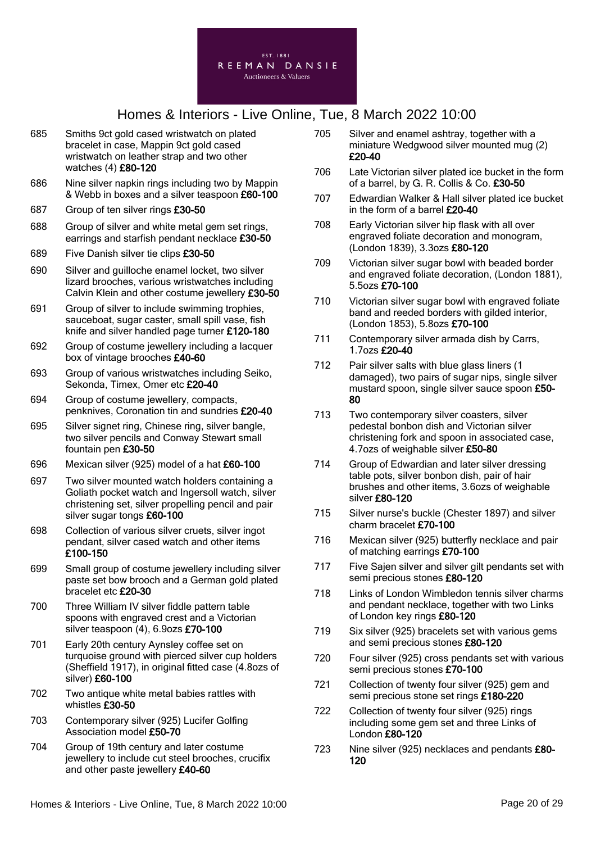

- 685 Smiths 9ct gold cased wristwatch on plated bracelet in case, Mappin 9ct gold cased wristwatch on leather strap and two other watches (4) £80-120
- 686 Nine silver napkin rings including two by Mappin & Webb in boxes and a silver teaspoon £60-100
- 687 Group of ten silver rings £30-50
- 688 Group of silver and white metal gem set rings, earrings and starfish pendant necklace £30-50
- 689 Five Danish silver tie clips £30-50
- 690 Silver and guilloche enamel locket, two silver lizard brooches, various wristwatches including Calvin Klein and other costume jewellery £30-50
- 691 Group of silver to include swimming trophies, sauceboat, sugar caster, small spill vase, fish knife and silver handled page turner £120-180
- 692 Group of costume jewellery including a lacquer box of vintage brooches £40-60
- 693 Group of various wristwatches including Seiko, Sekonda, Timex, Omer etc £20-40
- 694 Group of costume jewellery, compacts, penknives, Coronation tin and sundries £20-40
- 695 Silver signet ring, Chinese ring, silver bangle, two silver pencils and Conway Stewart small fountain pen £30-50
- 696 Mexican silver (925) model of a hat £60-100
- 697 Two silver mounted watch holders containing a Goliath pocket watch and Ingersoll watch, silver christening set, silver propelling pencil and pair silver sugar tongs £60-100
- 698 Collection of various silver cruets, silver ingot pendant, silver cased watch and other items £100-150
- 699 Small group of costume jewellery including silver paste set bow brooch and a German gold plated bracelet etc £20-30
- 700 Three William IV silver fiddle pattern table spoons with engraved crest and a Victorian silver teaspoon (4), 6.9ozs £70-100
- 701 Early 20th century Aynsley coffee set on turquoise ground with pierced silver cup holders (Sheffield 1917), in original fitted case (4.8ozs of silver) £60-100
- 702 Two antique white metal babies rattles with whistles £30-50
- 703 Contemporary silver (925) Lucifer Golfing Association model £50-70
- 704 Group of 19th century and later costume jewellery to include cut steel brooches, crucifix and other paste jewellery £40-60
- 705 Silver and enamel ashtray, together with a miniature Wedgwood silver mounted mug (2) £20-40
- 706 Late Victorian silver plated ice bucket in the form of a barrel, by G. R. Collis & Co. £30-50
- 707 Edwardian Walker & Hall silver plated ice bucket in the form of a barrel £20-40
- 708 Early Victorian silver hip flask with all over engraved foliate decoration and monogram, (London 1839), 3.3ozs £80-120
- 709 Victorian silver sugar bowl with beaded border and engraved foliate decoration, (London 1881), 5.5ozs £70-100
- 710 Victorian silver sugar bowl with engraved foliate band and reeded borders with gilded interior, (London 1853), 5.8ozs £70-100
- 711 Contemporary silver armada dish by Carrs, 1.7ozs £20-40
- 712 Pair silver salts with blue glass liners (1 damaged), two pairs of sugar nips, single silver mustard spoon, single silver sauce spoon £50- 80
- 713 Two contemporary silver coasters, silver pedestal bonbon dish and Victorian silver christening fork and spoon in associated case, 4.7ozs of weighable silver £50-80
- 714 Group of Edwardian and later silver dressing table pots, silver bonbon dish, pair of hair brushes and other items, 3.6ozs of weighable silver £80-120
- 715 Silver nurse's buckle (Chester 1897) and silver charm bracelet £70-100
- 716 Mexican silver (925) butterfly necklace and pair of matching earrings £70-100
- 717 Five Sajen silver and silver gilt pendants set with semi precious stones £80-120
- 718 Links of London Wimbledon tennis silver charms and pendant necklace, together with two Links of London key rings £80-120
- 719 Six silver (925) bracelets set with various gems and semi precious stones £80-120
- 720 Four silver (925) cross pendants set with various semi precious stones £70-100
- 721 Collection of twenty four silver (925) gem and semi precious stone set rings £180-220
- 722 Collection of twenty four silver (925) rings including some gem set and three Links of London £80-120
- 723 Nine silver (925) necklaces and pendants £80-120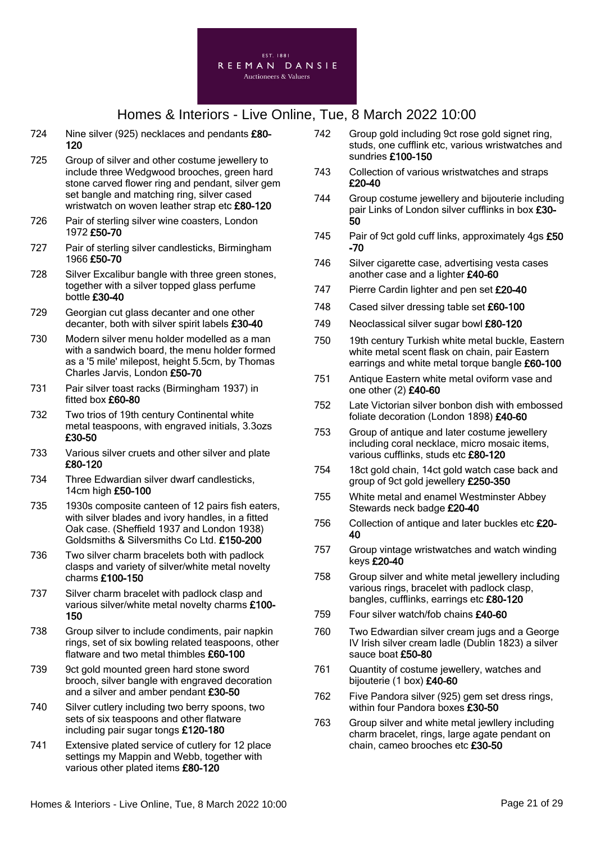

- 724 Nine silver (925) necklaces and pendants £80-120
- 725 Group of silver and other costume jewellery to include three Wedgwood brooches, green hard stone carved flower ring and pendant, silver gem set bangle and matching ring, silver cased wristwatch on woven leather strap etc £80-120
- 726 Pair of sterling silver wine coasters, London 1972 £50-70
- 727 Pair of sterling silver candlesticks, Birmingham 1966 £50-70
- 728 Silver Excalibur bangle with three green stones, together with a silver topped glass perfume bottle £30-40
- 729 Georgian cut glass decanter and one other decanter, both with silver spirit labels £30-40
- 730 Modern silver menu holder modelled as a man with a sandwich board, the menu holder formed as a '5 mile' milepost, height 5.5cm, by Thomas Charles Jarvis, London £50-70
- 731 Pair silver toast racks (Birmingham 1937) in fitted box £60-80
- 732 Two trios of 19th century Continental white metal teaspoons, with engraved initials, 3.3ozs £30-50
- 733 Various silver cruets and other silver and plate £80-120
- 734 Three Edwardian silver dwarf candlesticks, 14cm high £50-100
- 735 1930s composite canteen of 12 pairs fish eaters, with silver blades and ivory handles, in a fitted Oak case. (Sheffield 1937 and London 1938) Goldsmiths & Silversmiths Co Ltd. £150-200
- 736 Two silver charm bracelets both with padlock clasps and variety of silver/white metal novelty charms £100-150
- 737 Silver charm bracelet with padlock clasp and various silver/white metal novelty charms £100- 150
- 738 Group silver to include condiments, pair napkin rings, set of six bowling related teaspoons, other flatware and two metal thimbles £60-100
- 739 9ct gold mounted green hard stone sword brooch, silver bangle with engraved decoration and a silver and amber pendant £30-50
- 740 Silver cutlery including two berry spoons, two sets of six teaspoons and other flatware including pair sugar tongs £120-180
- 741 Extensive plated service of cutlery for 12 place settings my Mappin and Webb, together with various other plated items £80-120
- 742 Group gold including 9ct rose gold signet ring, studs, one cufflink etc, various wristwatches and sundries £100-150
- 743 Collection of various wristwatches and straps £20-40
- 744 Group costume jewellery and bijouterie including pair Links of London silver cufflinks in box £30-50
- 745 Pair of 9ct gold cuff links, approximately 4gs £50 -70
- 746 Silver cigarette case, advertising vesta cases another case and a lighter £40-60
- 747 Pierre Cardin lighter and pen set £20-40
- 748 Cased silver dressing table set £60-100
- 749 Neoclassical silver sugar bowl £80-120
- 750 19th century Turkish white metal buckle, Eastern white metal scent flask on chain, pair Eastern earrings and white metal torque bangle £60-100
- 751 Antique Eastern white metal oviform vase and one other (2) £40-60
- 752 Late Victorian silver bonbon dish with embossed foliate decoration (London 1898) £40-60
- 753 Group of antique and later costume jewellery including coral necklace, micro mosaic items, various cufflinks, studs etc £80-120
- 754 18ct gold chain, 14ct gold watch case back and group of 9ct gold jewellery £250-350
- 755 White metal and enamel Westminster Abbey Stewards neck badge £20-40
- 756 Collection of antique and later buckles etc £20-40
- 757 Group vintage wristwatches and watch winding keys £20-40
- 758 Group silver and white metal jewellery including various rings, bracelet with padlock clasp, bangles, cufflinks, earrings etc £80-120
- 759 Four silver watch/fob chains £40-60
- 760 Two Edwardian silver cream jugs and a George IV Irish silver cream ladle (Dublin 1823) a silver sauce boat £50-80
- 761 Quantity of costume jewellery, watches and bijouterie (1 box) £40-60
- 762 Five Pandora silver (925) gem set dress rings, within four Pandora boxes £30-50
- 763 Group silver and white metal jewllery including charm bracelet, rings, large agate pendant on chain, cameo brooches etc £30-50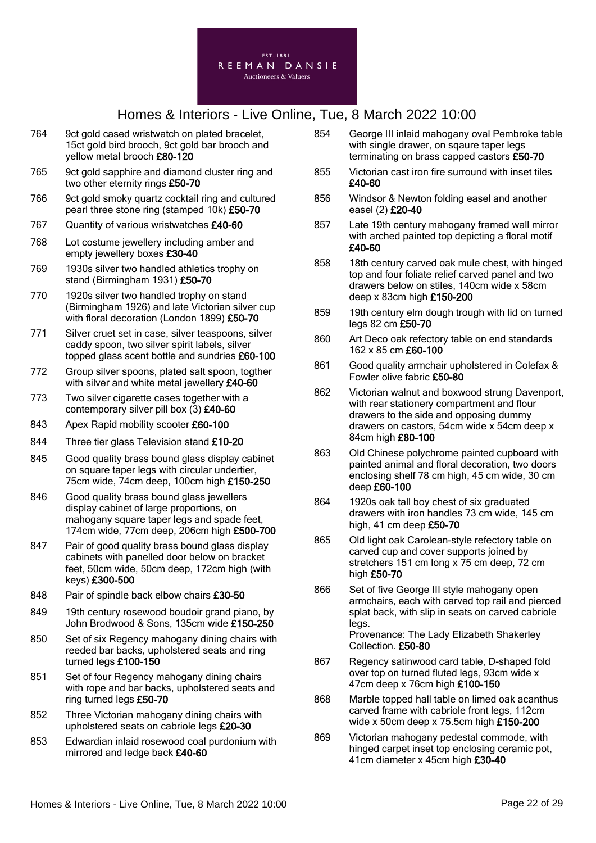

- 764 9ct gold cased wristwatch on plated bracelet, 15ct gold bird brooch, 9ct gold bar brooch and yellow metal brooch £80-120
- 765 9ct gold sapphire and diamond cluster ring and two other eternity rings £50-70
- 766 9ct gold smoky quartz cocktail ring and cultured pearl three stone ring (stamped 10k) £50-70
- 767 Quantity of various wristwatches £40-60
- 768 Lot costume jewellery including amber and empty jewellery boxes £30-40
- 769 1930s silver two handled athletics trophy on stand (Birmingham 1931) £50-70
- 770 1920s silver two handled trophy on stand (Birmingham 1926) and late Victorian silver cup with floral decoration (London 1899) £50-70
- 771 Silver cruet set in case, silver teaspoons, silver caddy spoon, two silver spirit labels, silver topped glass scent bottle and sundries £60-100
- 772 Group silver spoons, plated salt spoon, togther with silver and white metal jewellery £40-60
- 773 Two silver cigarette cases together with a contemporary silver pill box (3) £40-60
- 843 Apex Rapid mobility scooter £60-100
- 844 Three tier glass Television stand £10-20
- 845 Good quality brass bound glass display cabinet on square taper legs with circular undertier, 75cm wide, 74cm deep, 100cm high £150-250
- 846 Good quality brass bound glass jewellers display cabinet of large proportions, on mahogany square taper legs and spade feet, 174cm wide, 77cm deep, 206cm high £500-700
- 847 Pair of good quality brass bound glass display cabinets with panelled door below on bracket feet, 50cm wide, 50cm deep, 172cm high (with keys) £300-500
- 848 Pair of spindle back elbow chairs £30-50
- 849 19th century rosewood boudoir grand piano, by John Brodwood & Sons, 135cm wide £150-250
- 850 Set of six Regency mahogany dining chairs with reeded bar backs, upholstered seats and ring turned legs £100-150
- 851 Set of four Regency mahogany dining chairs with rope and bar backs, upholstered seats and ring turned legs £50-70
- 852 Three Victorian mahogany dining chairs with upholstered seats on cabriole legs £20-30
- 853 Edwardian inlaid rosewood coal purdonium with mirrored and ledge back £40-60
- 854 George III inlaid mahogany oval Pembroke table with single drawer, on sqaure taper legs terminating on brass capped castors £50-70
- 855 Victorian cast iron fire surround with inset tiles £40-60
- 856 Windsor & Newton folding easel and another easel (2) £20-40
- 857 Late 19th century mahogany framed wall mirror with arched painted top depicting a floral motif £40-60
- 858 18th century carved oak mule chest, with hinged top and four foliate relief carved panel and two drawers below on stiles, 140cm wide x 58cm deep x 83cm high £150-200
- 859 19th century elm dough trough with lid on turned legs 82 cm £50-70
- 860 Art Deco oak refectory table on end standards 162 x 85 cm £60-100
- 861 Good quality armchair upholstered in Colefax & Fowler olive fabric £50-80
- 862 Victorian walnut and boxwood strung Davenport, with rear stationery compartment and flour drawers to the side and opposing dummy drawers on castors, 54cm wide x 54cm deep x 84cm high £80-100
- 863 Old Chinese polychrome painted cupboard with painted animal and floral decoration, two doors enclosing shelf 78 cm high, 45 cm wide, 30 cm deep £60-100
- 864 1920s oak tall boy chest of six graduated drawers with iron handles 73 cm wide, 145 cm high, 41 cm deep £50-70
- 865 Old light oak Carolean-style refectory table on carved cup and cover supports joined by stretchers 151 cm long x 75 cm deep, 72 cm high £50-70
- 866 Set of five George III style mahogany open armchairs, each with carved top rail and pierced splat back, with slip in seats on carved cabriole legs. Provenance: The Lady Elizabeth Shakerley Collection. £50-80
- 867 Regency satinwood card table, D-shaped fold over top on turned fluted legs, 93cm wide x 47cm deep x 76cm high £100-150
- 868 Marble topped hall table on limed oak acanthus carved frame with cabriole front legs, 112cm wide x 50cm deep x 75.5cm high £150-200
- 869 Victorian mahogany pedestal commode, with hinged carpet inset top enclosing ceramic pot, 41cm diameter x 45cm high £30-40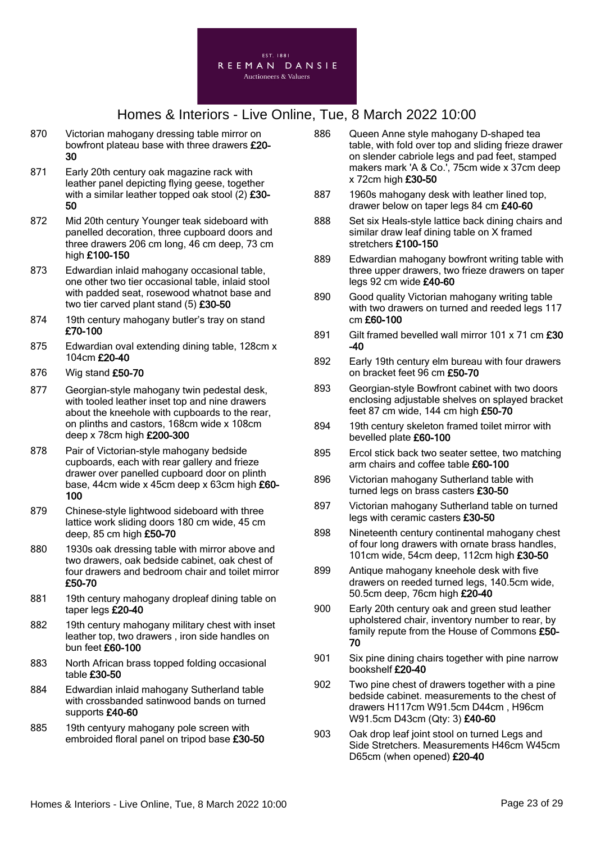

- 870 Victorian mahogany dressing table mirror on bowfront plateau base with three drawers £20- 30
- 871 Early 20th century oak magazine rack with leather panel depicting flying geese, together with a similar leather topped oak stool (2) £30-50
- 872 Mid 20th century Younger teak sideboard with panelled decoration, three cupboard doors and three drawers 206 cm long, 46 cm deep, 73 cm high £100-150
- 873 Edwardian inlaid mahogany occasional table, one other two tier occasional table, inlaid stool with padded seat, rosewood whatnot base and two tier carved plant stand (5) £30-50
- 874 19th century mahogany butler's tray on stand £70-100
- 875 Edwardian oval extending dining table, 128cm x 104cm £20-40
- 876 Wig stand £50-70
- 877 Georgian-style mahogany twin pedestal desk, with tooled leather inset top and nine drawers about the kneehole with cupboards to the rear, on plinths and castors, 168cm wide x 108cm deep x 78cm high £200-300
- 878 Pair of Victorian-style mahogany bedside cupboards, each with rear gallery and frieze drawer over panelled cupboard door on plinth base, 44cm wide x 45cm deep x 63cm high £60- 100
- 879 Chinese-style lightwood sideboard with three lattice work sliding doors 180 cm wide, 45 cm deep, 85 cm high £50-70
- 880 1930s oak dressing table with mirror above and two drawers, oak bedside cabinet, oak chest of four drawers and bedroom chair and toilet mirror £50-70
- 881 19th century mahogany dropleaf dining table on taper legs £20-40
- 882 19th century mahogany military chest with inset leather top, two drawers , iron side handles on bun feet £60-100
- 883 North African brass topped folding occasional table £30-50
- 884 Edwardian inlaid mahogany Sutherland table with crossbanded satinwood bands on turned supports £40-60
- 885 19th centyury mahogany pole screen with embroided floral panel on tripod base £30-50
- 886 Queen Anne style mahogany D-shaped tea table, with fold over top and sliding frieze drawer on slender cabriole legs and pad feet, stamped makers mark 'A & Co.', 75cm wide x 37cm deep x 72cm high £30-50
- 887 1960s mahogany desk with leather lined top, drawer below on taper legs 84 cm £40-60
- 888 Set six Heals-style lattice back dining chairs and similar draw leaf dining table on X framed stretchers £100-150
- 889 Edwardian mahogany bowfront writing table with three upper drawers, two frieze drawers on taper legs 92 cm wide £40-60
- 890 Good quality Victorian mahogany writing table with two drawers on turned and reeded legs 117 cm £60-100
- 891 Gilt framed bevelled wall mirror 101 x 71 cm £30 -40
- 892 Early 19th century elm bureau with four drawers on bracket feet 96 cm £50-70
- 893 Georgian-style Bowfront cabinet with two doors enclosing adjustable shelves on splayed bracket feet 87 cm wide, 144 cm high £50-70
- 894 19th century skeleton framed toilet mirror with bevelled plate £60-100
- 895 Ercol stick back two seater settee, two matching arm chairs and coffee table £60-100
- 896 Victorian mahogany Sutherland table with turned legs on brass casters £30-50
- 897 Victorian mahogany Sutherland table on turned legs with ceramic casters £30-50
- 898 Nineteenth century continental mahogany chest of four long drawers with ornate brass handles, 101cm wide, 54cm deep, 112cm high £30-50
- 899 Antique mahogany kneehole desk with five drawers on reeded turned legs, 140.5cm wide, 50.5cm deep, 76cm high £20-40
- 900 Early 20th century oak and green stud leather upholstered chair, inventory number to rear, by family repute from the House of Commons £50- 70
- 901 Six pine dining chairs together with pine narrow bookshelf £20-40
- 902 Two pine chest of drawers together with a pine bedside cabinet. measurements to the chest of drawers H117cm W91.5cm D44cm , H96cm W91.5cm D43cm (Qty: 3) £40-60
- 903 Oak drop leaf joint stool on turned Legs and Side Stretchers. Measurements H46cm W45cm D65cm (when opened) £20-40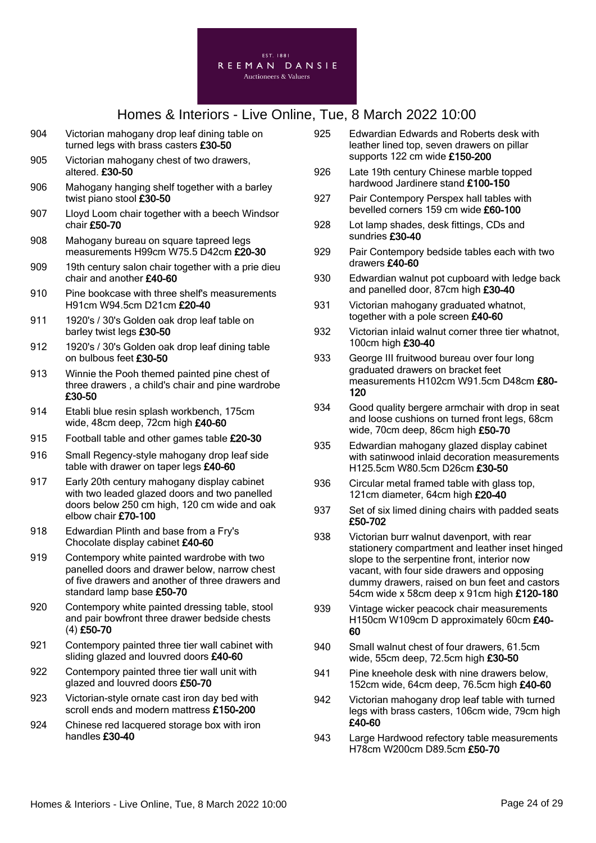

- 904 Victorian mahogany drop leaf dining table on turned legs with brass casters £30-50
- 905 Victorian mahogany chest of two drawers, altered. £30-50
- 906 Mahogany hanging shelf together with a barley twist piano stool £30-50
- 907 Lloyd Loom chair together with a beech Windsor chair £50-70
- 908 Mahogany bureau on square tapreed legs measurements H99cm W75.5 D42cm £20-30
- 909 19th century salon chair together with a prie dieu chair and another £40-60
- 910 Pine bookcase with three shelf's measurements H91cm W94.5cm D21cm £20-40
- 911 1920's / 30's Golden oak drop leaf table on barley twist legs £30-50
- 912 1920's / 30's Golden oak drop leaf dining table on bulbous feet £30-50
- 913 Winnie the Pooh themed painted pine chest of three drawers , a child's chair and pine wardrobe £30-50
- 914 Etabli blue resin splash workbench, 175cm wide, 48cm deep, 72cm high £40-60
- 915 Football table and other games table £20-30
- 916 Small Regency-style mahogany drop leaf side table with drawer on taper legs £40-60
- 917 Early 20th century mahogany display cabinet with two leaded glazed doors and two panelled doors below 250 cm high, 120 cm wide and oak elbow chair £70-100
- 918 Edwardian Plinth and base from a Fry's Chocolate display cabinet £40-60
- 919 Contempory white painted wardrobe with two panelled doors and drawer below, narrow chest of five drawers and another of three drawers and standard lamp base £50-70
- 920 Contempory white painted dressing table, stool and pair bowfront three drawer bedside chests (4) £50-70
- 921 Contempory painted three tier wall cabinet with sliding glazed and louvred doors £40-60
- 922 Contempory painted three tier wall unit with glazed and louvred doors £50-70
- 923 Victorian-style ornate cast iron day bed with scroll ends and modern mattress £150-200
- 924 Chinese red lacquered storage box with iron handles £30-40
- 925 Edwardian Edwards and Roberts desk with leather lined top, seven drawers on pillar supports 122 cm wide £150-200
- 926 Late 19th century Chinese marble topped hardwood Jardinere stand £100-150
- 927 Pair Contempory Perspex hall tables with bevelled corners 159 cm wide £60-100
- 928 Lot lamp shades, desk fittings, CDs and sundries £30-40
- 929 Pair Contempory bedside tables each with two drawers £40-60
- 930 Edwardian walnut pot cupboard with ledge back and panelled door, 87cm high £30-40
- 931 Victorian mahogany graduated whatnot, together with a pole screen £40-60
- 932 Victorian inlaid walnut corner three tier whatnot, 100cm high £30-40
- 933 George III fruitwood bureau over four long graduated drawers on bracket feet measurements H102cm W91.5cm D48cm £80-120
- 934 Good quality bergere armchair with drop in seat and loose cushions on turned front legs, 68cm wide, 70cm deep, 86cm high £50-70
- 935 Edwardian mahogany glazed display cabinet with satinwood inlaid decoration measurements H125.5cm W80.5cm D26cm £30-50
- 936 Circular metal framed table with glass top, 121cm diameter, 64cm high £20-40
- 937 Set of six limed dining chairs with padded seats £50-702
- 938 Victorian burr walnut davenport, with rear stationery compartment and leather inset hinged slope to the serpentine front, interior now vacant, with four side drawers and opposing dummy drawers, raised on bun feet and castors 54cm wide x 58cm deep x 91cm high £120-180
- 939 Vintage wicker peacock chair measurements H150cm W109cm D approximately 60cm £40- 60
- 940 Small walnut chest of four drawers, 61.5cm wide, 55cm deep, 72.5cm high £30-50
- 941 Pine kneehole desk with nine drawers below, 152cm wide, 64cm deep, 76.5cm high £40-60
- 942 Victorian mahogany drop leaf table with turned legs with brass casters, 106cm wide, 79cm high £40-60
- 943 Large Hardwood refectory table measurements H78cm W200cm D89.5cm £50-70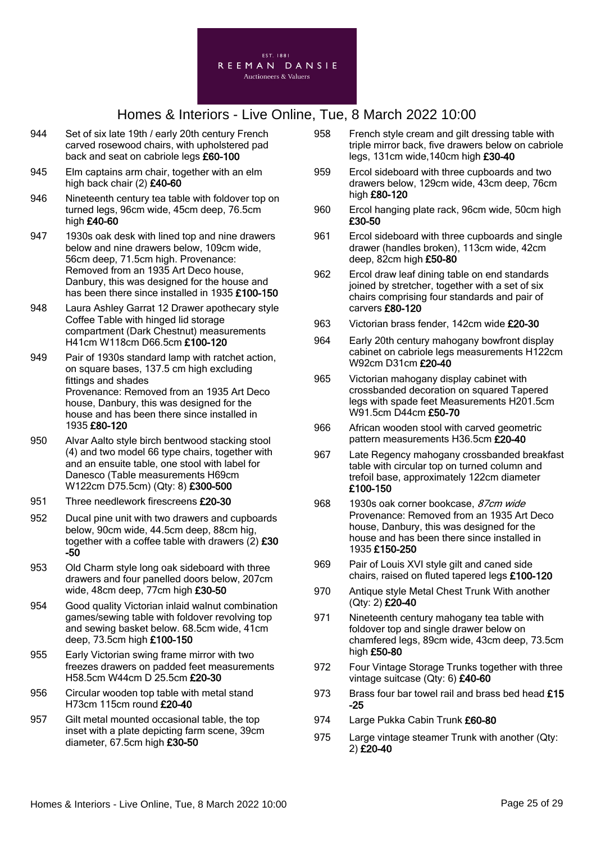

- 944 Set of six late 19th / early 20th century French carved rosewood chairs, with upholstered pad back and seat on cabriole legs £60-100
- 945 Elm captains arm chair, together with an elm high back chair (2) £40-60
- 946 Nineteenth century tea table with foldover top on turned legs, 96cm wide, 45cm deep, 76.5cm high £40-60
- 947 1930s oak desk with lined top and nine drawers below and nine drawers below, 109cm wide, 56cm deep, 71.5cm high. Provenance: Removed from an 1935 Art Deco house, Danbury, this was designed for the house and has been there since installed in 1935 £100-150
- 948 Laura Ashley Garrat 12 Drawer apothecary style Coffee Table with hinged lid storage compartment (Dark Chestnut) measurements H41cm W118cm D66.5cm £100-120
- 949 Pair of 1930s standard lamp with ratchet action, on square bases, 137.5 cm high excluding fittings and shades Provenance: Removed from an 1935 Art Deco house, Danbury, this was designed for the house and has been there since installed in 1935 £80-120
- 950 Alvar Aalto style birch bentwood stacking stool (4) and two model 66 type chairs, together with and an ensuite table, one stool with label for Danesco (Table measurements H69cm W122cm D75.5cm) (Qty: 8) £300-500
- 951 Three needlework firescreens £20-30
- 952 Ducal pine unit with two drawers and cupboards below, 90cm wide, 44.5cm deep, 88cm hig, together with a coffee table with drawers  $(2)$  £30 -50
- 953 Old Charm style long oak sideboard with three drawers and four panelled doors below, 207cm wide, 48cm deep, 77cm high £30-50
- 954 Good quality Victorian inlaid walnut combination games/sewing table with foldover revolving top and sewing basket below. 68.5cm wide, 41cm deep, 73.5cm high £100-150
- 955 Early Victorian swing frame mirror with two freezes drawers on padded feet measurements H58.5cm W44cm D 25.5cm £20-30
- 956 Circular wooden top table with metal stand H73cm 115cm round £20-40
- 957 Gilt metal mounted occasional table, the top inset with a plate depicting farm scene, 39cm diameter, 67.5cm high £30-50
- 958 French style cream and gilt dressing table with triple mirror back, five drawers below on cabriole legs, 131cm wide,140cm high £30-40
- 959 Ercol sideboard with three cupboards and two drawers below, 129cm wide, 43cm deep, 76cm high £80-120
- 960 Ercol hanging plate rack, 96cm wide, 50cm high £30-50
- 961 Ercol sideboard with three cupboards and single drawer (handles broken), 113cm wide, 42cm deep, 82cm high £50-80
- 962 Ercol draw leaf dining table on end standards joined by stretcher, together with a set of six chairs comprising four standards and pair of carvers £80-120
- 963 Victorian brass fender, 142cm wide £20-30
- 964 Early 20th century mahogany bowfront display cabinet on cabriole legs measurements H122cm W92cm D31cm £20-40
- 965 Victorian mahogany display cabinet with crossbanded decoration on squared Tapered legs with spade feet Measurements H201.5cm W91.5cm D44cm £50-70
- 966 African wooden stool with carved geometric pattern measurements H36.5cm £20-40
- 967 Late Regency mahogany crossbanded breakfast table with circular top on turned column and trefoil base, approximately 122cm diameter £100-150
- 968 1930s oak corner bookcase, 87cm wide Provenance: Removed from an 1935 Art Deco house, Danbury, this was designed for the house and has been there since installed in 1935 £150-250
- 969 Pair of Louis XVI style gilt and caned side chairs, raised on fluted tapered legs £100-120
- 970 Antique style Metal Chest Trunk With another (Qty: 2) £20-40
- 971 Nineteenth century mahogany tea table with foldover top and single drawer below on chamfered legs, 89cm wide, 43cm deep, 73.5cm high £50-80
- 972 Four Vintage Storage Trunks together with three vintage suitcase (Qty: 6) £40-60
- 973 Brass four bar towel rail and brass bed head £15 -25
- 974 Large Pukka Cabin Trunk £60-80
- 975 Large vintage steamer Trunk with another (Qty: 2) £20-40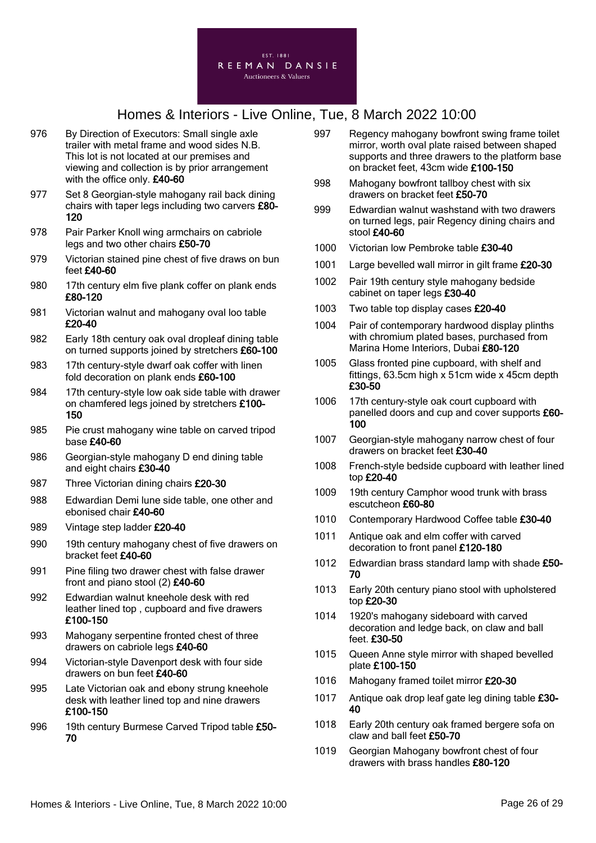

- 976 By Direction of Executors: Small single axle trailer with metal frame and wood sides N.B. This lot is not located at our premises and viewing and collection is by prior arrangement with the office only. £40-60
- 977 Set 8 Georgian-style mahogany rail back dining chairs with taper legs including two carvers £80- 120
- 978 Pair Parker Knoll wing armchairs on cabriole legs and two other chairs £50-70
- 979 Victorian stained pine chest of five draws on bun feet £40-60
- 980 17th century elm five plank coffer on plank ends £80-120
- 981 Victorian walnut and mahogany oval loo table £20-40
- 982 Early 18th century oak oval dropleaf dining table on turned supports joined by stretchers £60-100
- 983 17th century-style dwarf oak coffer with linen fold decoration on plank ends £60-100
- 984 17th century-style low oak side table with drawer on chamfered legs joined by stretchers £100- 150
- 985 Pie crust mahogany wine table on carved tripod base £40-60
- 986 Georgian-style mahogany D end dining table and eight chairs £30-40
- 987 Three Victorian dining chairs £20-30
- 988 Edwardian Demi lune side table, one other and ebonised chair £40-60
- 989 Vintage step ladder £20-40
- 990 19th century mahogany chest of five drawers on bracket feet £40-60
- 991 Pine filing two drawer chest with false drawer front and piano stool (2) £40-60
- 992 Edwardian walnut kneehole desk with red leather lined top , cupboard and five drawers £100-150
- 993 Mahogany serpentine fronted chest of three drawers on cabriole legs £40-60
- 994 Victorian-style Davenport desk with four side drawers on bun feet £40-60
- 995 Late Victorian oak and ebony strung kneehole desk with leather lined top and nine drawers £100-150
- 996 19th century Burmese Carved Tripod table £50-70
- 997 Regency mahogany bowfront swing frame toilet mirror, worth oval plate raised between shaped supports and three drawers to the platform base on bracket feet, 43cm wide £100-150
- 998 Mahogany bowfront tallboy chest with six drawers on bracket feet £50-70
- 999 Edwardian walnut washstand with two drawers on turned legs, pair Regency dining chairs and stool £40-60
- 1000 Victorian low Pembroke table £30-40
- 1001 Large bevelled wall mirror in gilt frame £20-30
- 1002 Pair 19th century style mahogany bedside cabinet on taper legs £30-40
- 1003 Two table top display cases £20-40
- 1004 Pair of contemporary hardwood display plinths with chromium plated bases, purchased from Marina Home Interiors, Dubai £80-120
- 1005 Glass fronted pine cupboard, with shelf and fittings, 63.5cm high x 51cm wide x 45cm depth £30-50
- 1006 17th century-style oak court cupboard with panelled doors and cup and cover supports £60- 100
- 1007 Georgian-style mahogany narrow chest of four drawers on bracket feet £30-40
- 1008 French-style bedside cupboard with leather lined top £20-40
- 1009 19th century Camphor wood trunk with brass escutcheon £60-80
- 1010 Contemporary Hardwood Coffee table £30-40
- 1011 Antique oak and elm coffer with carved decoration to front panel £120-180
- 1012 Edwardian brass standard lamp with shade £50-70
- 1013 Early 20th century piano stool with upholstered top £20-30
- 1014 1920's mahogany sideboard with carved decoration and ledge back, on claw and ball feet. £30-50
- 1015 Queen Anne style mirror with shaped bevelled plate £100-150
- 1016 Mahogany framed toilet mirror £20-30
- 1017 Antique oak drop leaf gate leg dining table £30-40
- 1018 Early 20th century oak framed bergere sofa on claw and ball feet £50-70
- 1019 Georgian Mahogany bowfront chest of four drawers with brass handles £80-120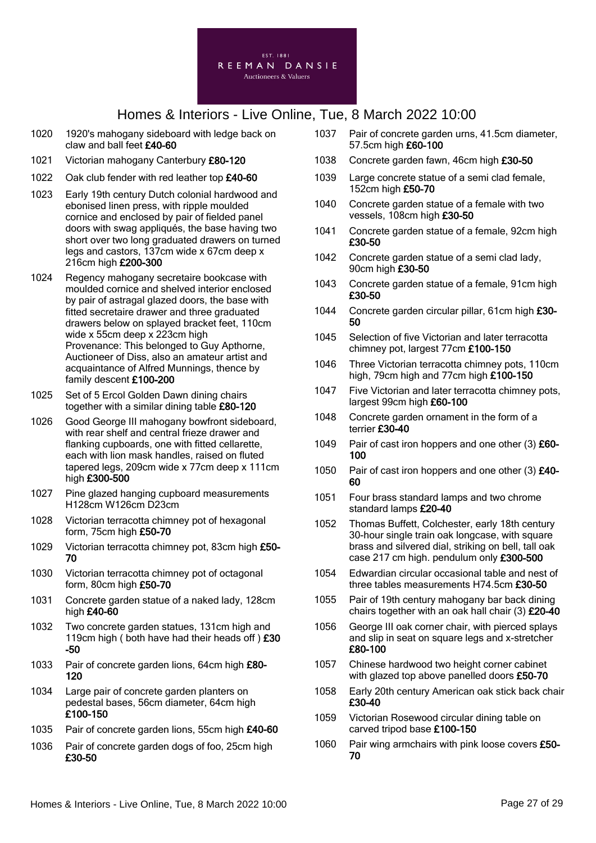

- 1020 1920's mahogany sideboard with ledge back on claw and ball feet £40-60
- 1021 Victorian mahogany Canterbury £80-120
- 1022 Oak club fender with red leather top £40-60
- 1023 Early 19th century Dutch colonial hardwood and ebonised linen press, with ripple moulded cornice and enclosed by pair of fielded panel doors with swag appliqués, the base having two short over two long graduated drawers on turned legs and castors, 137cm wide x 67cm deep x 216cm high £200-300
- 1024 Regency mahogany secretaire bookcase with moulded cornice and shelved interior enclosed by pair of astragal glazed doors, the base with fitted secretaire drawer and three graduated drawers below on splayed bracket feet, 110cm wide x 55cm deep x 223cm high Provenance: This belonged to Guy Apthorne, Auctioneer of Diss, also an amateur artist and acquaintance of Alfred Munnings, thence by family descent £100-200
- 1025 Set of 5 Ercol Golden Dawn dining chairs together with a similar dining table £80-120
- 1026 Good George III mahogany bowfront sideboard, with rear shelf and central frieze drawer and flanking cupboards, one with fitted cellarette, each with lion mask handles, raised on fluted tapered legs, 209cm wide x 77cm deep x 111cm high £300-500
- 1027 Pine glazed hanging cupboard measurements H128cm W126cm D23cm
- 1028 Victorian terracotta chimney pot of hexagonal form, 75cm high £50-70
- 1029 Victorian terracotta chimney pot, 83cm high £50- 70
- 1030 Victorian terracotta chimney pot of octagonal form, 80cm high £50-70
- 1031 Concrete garden statue of a naked lady, 128cm high £40-60
- 1032 Two concrete garden statues, 131cm high and 119cm high ( both have had their heads off ) £30 -50
- 1033 Pair of concrete garden lions, 64cm high £80-120
- 1034 Large pair of concrete garden planters on pedestal bases, 56cm diameter, 64cm high £100-150
- 1035 Pair of concrete garden lions, 55cm high £40-60
- 1036 Pair of concrete garden dogs of foo, 25cm high £30-50
- 1037 Pair of concrete garden urns, 41.5cm diameter, 57.5cm high £60-100
- 1038 Concrete garden fawn, 46cm high £30-50
- 1039 Large concrete statue of a semi clad female, 152cm high £50-70
- 1040 Concrete garden statue of a female with two vessels, 108cm high £30-50
- 1041 Concrete garden statue of a female, 92cm high £30-50
- 1042 Concrete garden statue of a semi clad lady, 90cm high £30-50
- 1043 Concrete garden statue of a female, 91cm high £30-50
- 1044 Concrete garden circular pillar, 61cm high £30- 50
- 1045 Selection of five Victorian and later terracotta chimney pot, largest 77cm £100-150
- 1046 Three Victorian terracotta chimney pots, 110cm high, 79cm high and 77cm high £100-150
- 1047 Five Victorian and later terracotta chimney pots, largest 99cm high £60-100
- 1048 Concrete garden ornament in the form of a terrier £30-40
- 1049 Pair of cast iron hoppers and one other (3) £60-100
- 1050 Pair of cast iron hoppers and one other (3) £40-60
- 1051 Four brass standard lamps and two chrome standard lamps £20-40
- 1052 Thomas Buffett, Colchester, early 18th century 30-hour single train oak longcase, with square brass and silvered dial, striking on bell, tall oak case 217 cm high. pendulum only £300-500
- 1054 Edwardian circular occasional table and nest of three tables measurements H74.5cm £30-50
- 1055 Pair of 19th century mahogany bar back dining chairs together with an oak hall chair (3) £20-40
- 1056 George III oak corner chair, with pierced splays and slip in seat on square legs and x-stretcher £80-100
- 1057 Chinese hardwood two height corner cabinet with glazed top above panelled doors £50-70
- 1058 Early 20th century American oak stick back chair £30-40
- 1059 Victorian Rosewood circular dining table on carved tripod base £100-150
- 1060 Pair wing armchairs with pink loose covers £50-70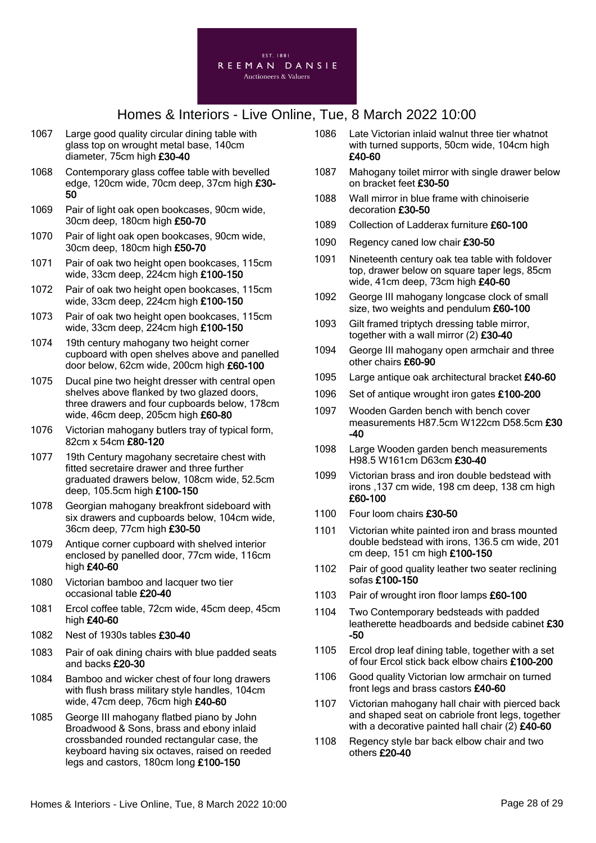

- 1067 Large good quality circular dining table with glass top on wrought metal base, 140cm diameter, 75cm high £30-40
- 1068 Contemporary glass coffee table with bevelled edge, 120cm wide, 70cm deep, 37cm high £30- 50
- 1069 Pair of light oak open bookcases, 90cm wide, 30cm deep, 180cm high £50-70
- 1070 Pair of light oak open bookcases, 90cm wide, 30cm deep, 180cm high £50-70
- 1071 Pair of oak two height open bookcases, 115cm wide, 33cm deep, 224cm high £100-150
- 1072 Pair of oak two height open bookcases, 115cm wide, 33cm deep, 224cm high £100-150
- 1073 Pair of oak two height open bookcases, 115cm wide, 33cm deep, 224cm high £100-150
- 1074 19th century mahogany two height corner cupboard with open shelves above and panelled door below, 62cm wide, 200cm high £60-100
- 1075 Ducal pine two height dresser with central open shelves above flanked by two glazed doors, three drawers and four cupboards below, 178cm wide, 46cm deep, 205cm high £60-80
- 1076 Victorian mahogany butlers tray of typical form, 82cm x 54cm £80-120
- 1077 19th Century magohany secretaire chest with fitted secretaire drawer and three further graduated drawers below, 108cm wide, 52.5cm deep, 105.5cm high £100-150
- 1078 Georgian mahogany breakfront sideboard with six drawers and cupboards below, 104cm wide, 36cm deep, 77cm high £30-50
- 1079 Antique corner cupboard with shelved interior enclosed by panelled door, 77cm wide, 116cm high £40-60
- 1080 Victorian bamboo and lacquer two tier occasional table £20-40
- 1081 Ercol coffee table, 72cm wide, 45cm deep, 45cm high £40-60
- 1082 Nest of 1930s tables £30-40
- 1083 Pair of oak dining chairs with blue padded seats and backs £20-30
- 1084 Bamboo and wicker chest of four long drawers with flush brass military style handles, 104cm wide, 47cm deep, 76cm high £40-60
- 1085 George III mahogany flatbed piano by John Broadwood & Sons, brass and ebony inlaid crossbanded rounded rectangular case, the keyboard having six octaves, raised on reeded legs and castors, 180cm long £100-150
- 1086 Late Victorian inlaid walnut three tier whatnot with turned supports, 50cm wide, 104cm high £40-60
- 1087 Mahogany toilet mirror with single drawer below on bracket feet £30-50
- 1088 Wall mirror in blue frame with chinoiserie decoration £30-50
- 1089 Collection of Ladderax furniture £60-100
- 1090 Regency caned low chair £30-50
- 1091 Nineteenth century oak tea table with foldover top, drawer below on square taper legs, 85cm wide, 41cm deep, 73cm high £40-60
- 1092 George III mahogany longcase clock of small size, two weights and pendulum £60-100
- 1093 Gilt framed triptych dressing table mirror, together with a wall mirror  $(2)$  £30-40
- 1094 George III mahogany open armchair and three other chairs £60-90
- 1095 Large antique oak architectural bracket £40-60
- 1096 Set of antique wrought iron gates £100-200
- 1097 Wooden Garden bench with bench cover measurements H87.5cm W122cm D58.5cm £30 -40
- 1098 Large Wooden garden bench measurements H98.5 W161cm D63cm £30-40
- 1099 Victorian brass and iron double bedstead with irons ,137 cm wide, 198 cm deep, 138 cm high £60-100
- 1100 Four loom chairs £30-50
- 1101 Victorian white painted iron and brass mounted double bedstead with irons, 136.5 cm wide, 201 cm deep, 151 cm high £100-150
- 1102 Pair of good quality leather two seater reclining sofas £100-150
- 1103 Pair of wrought iron floor lamps £60-100
- 1104 Two Contemporary bedsteads with padded leatherette headboards and bedside cabinet £30 -50
- 1105 Ercol drop leaf dining table, together with a set of four Ercol stick back elbow chairs £100-200
- 1106 Good quality Victorian low armchair on turned front legs and brass castors £40-60
- 1107 Victorian mahogany hall chair with pierced back and shaped seat on cabriole front legs, together with a decorative painted hall chair  $(2)$  £40-60
- 1108 Regency style bar back elbow chair and two others £20-40